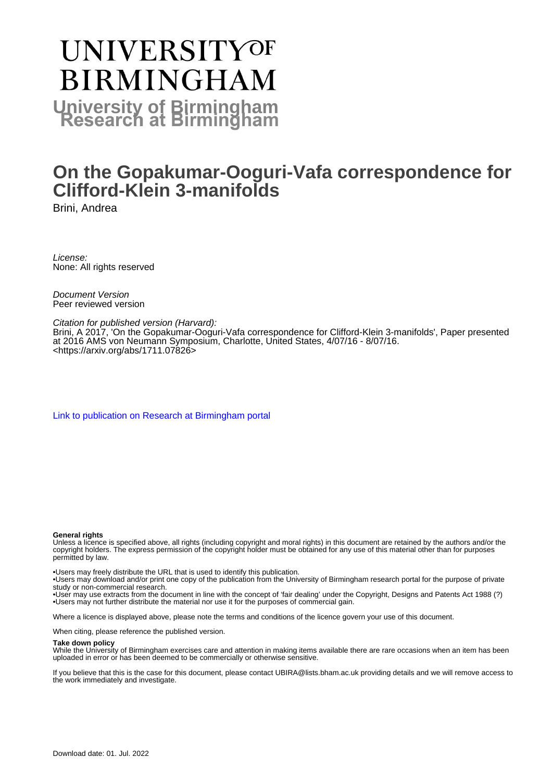# **UNIVERSITYOF BIRMINGHAM University of Birmingham**

# **On the Gopakumar-Ooguri-Vafa correspondence for Clifford-Klein 3-manifolds**

Brini, Andrea

License: None: All rights reserved

Document Version Peer reviewed version

Citation for published version (Harvard):

Brini, A 2017, 'On the Gopakumar-Ooguri-Vafa correspondence for Clifford-Klein 3-manifolds', Paper presented at 2016 AMS von Neumann Symposium, Charlotte, United States, 4/07/16 - 8/07/16. <[https://arxiv.org/abs/1711.07826>](https://arxiv.org/abs/1711.07826)

[Link to publication on Research at Birmingham portal](https://birmingham.elsevierpure.com/en/publications/123b0bb9-731e-4beb-9fb8-654d867c0efa)

#### **General rights**

Unless a licence is specified above, all rights (including copyright and moral rights) in this document are retained by the authors and/or the copyright holders. The express permission of the copyright holder must be obtained for any use of this material other than for purposes permitted by law.

• Users may freely distribute the URL that is used to identify this publication.

• Users may download and/or print one copy of the publication from the University of Birmingham research portal for the purpose of private study or non-commercial research.

• User may use extracts from the document in line with the concept of 'fair dealing' under the Copyright, Designs and Patents Act 1988 (?) • Users may not further distribute the material nor use it for the purposes of commercial gain.

Where a licence is displayed above, please note the terms and conditions of the licence govern your use of this document.

When citing, please reference the published version.

#### **Take down policy**

While the University of Birmingham exercises care and attention in making items available there are rare occasions when an item has been uploaded in error or has been deemed to be commercially or otherwise sensitive.

If you believe that this is the case for this document, please contact UBIRA@lists.bham.ac.uk providing details and we will remove access to the work immediately and investigate.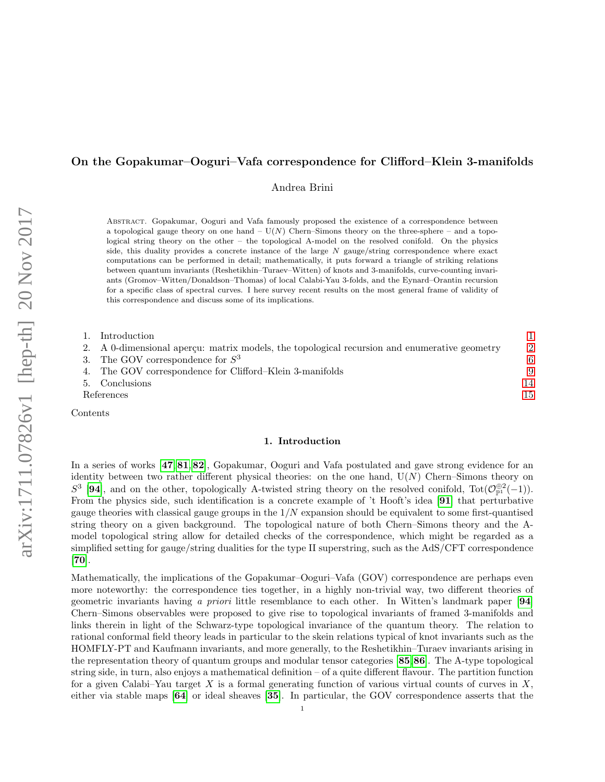# On the Gopakumar–Ooguri–Vafa correspondence for Clifford–Klein 3-manifolds

Andrea Brini

Abstract. Gopakumar, Ooguri and Vafa famously proposed the existence of a correspondence between a topological gauge theory on one hand –  $U(N)$  Chern–Simons theory on the three-sphere – and a topological string theory on the other – the topological A-model on the resolved conifold. On the physics side, this duality provides a concrete instance of the large  $N$  gauge/string correspondence where exact computations can be performed in detail; mathematically, it puts forward a triangle of striking relations between quantum invariants (Reshetikhin–Turaev–Witten) of knots and 3-manifolds, curve-counting invariants (Gromov–Witten/Donaldson–Thomas) of local Calabi-Yau 3-folds, and the Eynard–Orantin recursion for a specific class of spectral curves. I here survey recent results on the most general frame of validity of this correspondence and discuss some of its implications.

| 1. Introduction                                                                              |                |
|----------------------------------------------------------------------------------------------|----------------|
| 2. A 0-dimensional apercu: matrix models, the topological recursion and enumerative geometry | $\mathfrak{D}$ |
| 3. The GOV correspondence for $S^3$                                                          | 6              |
| 4. The GOV correspondence for Clifford–Klein 3-manifolds                                     | 9              |
| 5. Conclusions                                                                               | 14             |
| References                                                                                   | 15             |
|                                                                                              |                |

<span id="page-1-0"></span>Contents

#### 1. Introduction

In a series of works [[47](#page-16-0), [81](#page-17-0), [82](#page-17-1)], Gopakumar, Ooguri and Vafa postulated and gave strong evidence for an identity between two rather different physical theories: on the one hand,  $U(N)$  Chern–Simons theory on  $S^3$  [[94](#page-18-0)], and on the other, topologically A-twisted string theory on the resolved conifold, Tot $(\mathcal{O}_{\mathbb{P}^1}^{\oplus 2}(-1))$ . From the physics side, such identification is a concrete example of 't Hooft's idea [[91](#page-17-2)] that perturbative gauge theories with classical gauge groups in the  $1/N$  expansion should be equivalent to some first-quantised string theory on a given background. The topological nature of both Chern–Simons theory and the Amodel topological string allow for detailed checks of the correspondence, which might be regarded as a simplified setting for gauge/string dualities for the type II superstring, such as the AdS/CFT correspondence [[70](#page-17-3)].

Mathematically, the implications of the Gopakumar–Ooguri–Vafa (GOV) correspondence are perhaps even more noteworthy: the correspondence ties together, in a highly non-trivial way, two different theories of geometric invariants having a priori little resemblance to each other. In Witten's landmark paper [[94](#page-18-0)] Chern–Simons observables were proposed to give rise to topological invariants of framed 3-manifolds and links therein in light of the Schwarz-type topological invariance of the quantum theory. The relation to rational conformal field theory leads in particular to the skein relations typical of knot invariants such as the HOMFLY-PT and Kaufmann invariants, and more generally, to the Reshetikhin–Turaev invariants arising in the representation theory of quantum groups and modular tensor categories [[85](#page-17-4),[86](#page-17-5)]. The A-type topological string side, in turn, also enjoys a mathematical definition – of a quite different flavour. The partition function for a given Calabi–Yau target X is a formal generating function of various virtual counts of curves in  $X$ . either via stable maps [[64](#page-17-6)] or ideal sheaves [[35](#page-16-1)]. In particular, the GOV correspondence asserts that the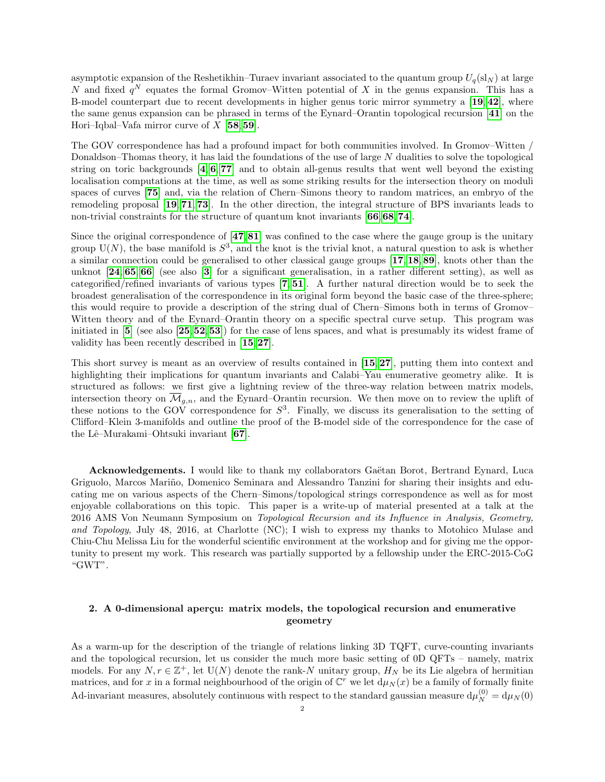asymptotic expansion of the Reshetikhin–Turaev invariant associated to the quantum group  $U_q(s_N)$  at large N and fixed  $q^N$  equates the formal Gromov–Witten potential of X in the genus expansion. This has a B-model counterpart due to recent developments in higher genus toric mirror symmetry a [[19](#page-16-2), [42](#page-16-3)], where the same genus expansion can be phrased in terms of the Eynard–Orantin topological recursion [[41](#page-16-4)] on the Hori–Iqbal–Vafa mirror curve of  $X$  [[58](#page-17-7),[59](#page-17-8)].

The GOV correspondence has had a profound impact for both communities involved. In Gromov–Witten / Donaldson–Thomas theory, it has laid the foundations of the use of large N dualities to solve the topological string on toric backgrounds  $[4, 6, 77]$  $[4, 6, 77]$  $[4, 6, 77]$  $[4, 6, 77]$  $[4, 6, 77]$  $[4, 6, 77]$  $[4, 6, 77]$  and to obtain all-genus results that went well beyond the existing localisation computations at the time, as well as some striking results for the intersection theory on moduli spaces of curves [[75](#page-17-10)] and, via the relation of Chern–Simons theory to random matrices, an embryo of the remodeling proposal [[19](#page-16-2), [71](#page-17-11), [73](#page-17-12)]. In the other direction, the integral structure of BPS invariants leads to non-trivial constraints for the structure of quantum knot invariants [[66](#page-17-13),[68](#page-17-14),[74](#page-17-15)].

Since the original correspondence of  $[47,81]$  $[47,81]$  $[47,81]$  $[47,81]$  $[47,81]$  was confined to the case where the gauge group is the unitary group  $U(N)$ , the base manifold is  $S^3$ , and the knot is the trivial knot, a natural question to ask is whether a similar connection could be generalised to other classical gauge groups [[17](#page-15-3), [18](#page-16-5), [89](#page-17-16)], knots other than the unknot [[24](#page-16-6), [65](#page-17-17), [66](#page-17-13)] (see also [[3](#page-15-4)] for a significant generalisation, in a rather different setting), as well as categorified/refined invariants of various types [[7](#page-15-5), [51](#page-16-7)]. A further natural direction would be to seek the broadest generalisation of the correspondence in its original form beyond the basic case of the three-sphere; this would require to provide a description of the string dual of Chern–Simons both in terms of Gromov– Witten theory and of the Eynard–Orantin theory on a specific spectral curve setup. This program was initiated in  $\overline{5}$  $\overline{5}$  $\overline{5}$  (see also  $\overline{25,52,53}$  $\overline{25,52,53}$  $\overline{25,52,53}$  $\overline{25,52,53}$  $\overline{25,52,53}$  $\overline{25,52,53}$  $\overline{25,52,53}$ ) for the case of lens spaces, and what is presumably its widest frame of validity has been recently described in [[15](#page-15-7),[27](#page-16-11)].

This short survey is meant as an overview of results contained in [[15](#page-15-7), [27](#page-16-11)], putting them into context and highlighting their implications for quantum invariants and Calabi–Yau enumerative geometry alike. It is structured as follows: we first give a lightning review of the three-way relation between matrix models, intersection theory on  $\overline{\mathcal{M}}_{g,n}$ , and the Eynard–Orantin recursion. We then move on to review the uplift of these notions to the GOV correspondence for  $S^3$ . Finally, we discuss its generalisation to the setting of Clifford–Klein 3-manifolds and outline the proof of the B-model side of the correspondence for the case of the Lê–Murakami–Ohtsuki invariant [[67](#page-17-18)].

Acknowledgements. I would like to thank my collaborators Gaëtan Borot, Bertrand Eynard, Luca Griguolo, Marcos Mariño, Domenico Seminara and Alessandro Tanzini for sharing their insights and educating me on various aspects of the Chern–Simons/topological strings correspondence as well as for most enjoyable collaborations on this topic. This paper is a write-up of material presented at a talk at the 2016 AMS Von Neumann Symposium on Topological Recursion and its Influence in Analysis, Geometry, and Topology, July 48, 2016, at Charlotte (NC); I wish to express my thanks to Motohico Mulase and Chiu-Chu Melissa Liu for the wonderful scientific environment at the workshop and for giving me the opportunity to present my work. This research was partially supported by a fellowship under the ERC-2015-CoG "GWT".

# <span id="page-2-0"></span>2. A 0-dimensional aperçu: matrix models, the topological recursion and enumerative geometry

As a warm-up for the description of the triangle of relations linking 3D TQFT, curve-counting invariants and the topological recursion, let us consider the much more basic setting of 0D QFTs – namely, matrix models. For any  $N, r \in \mathbb{Z}^+$ , let  $U(N)$  denote the rank-N unitary group,  $H_N$  be its Lie algebra of hermitian matrices, and for x in a formal neighbourhood of the origin of  $\mathbb{C}^r$  we let  $d\mu_N(x)$  be a family of formally finite Ad-invariant measures, absolutely continuous with respect to the standard gaussian measure  $d\mu_N^{(0)} = d\mu_N(0)$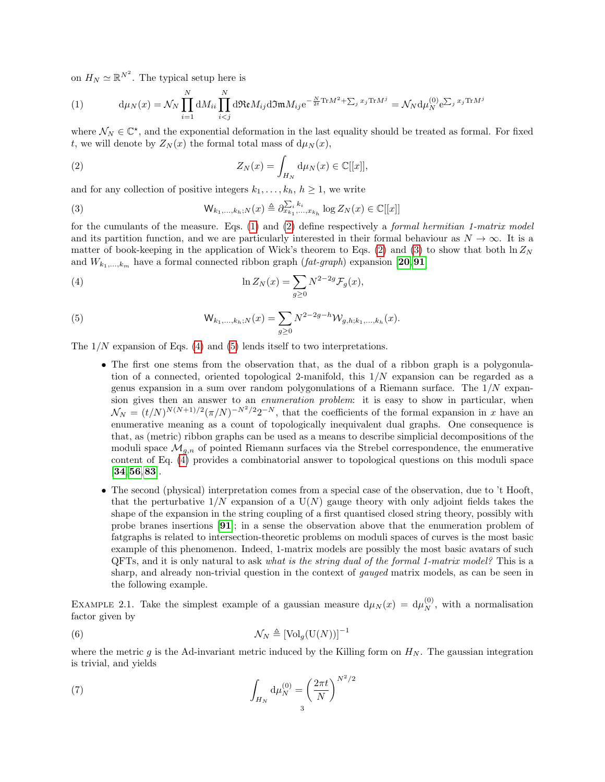on  $H_N \simeq \mathbb{R}^{N^2}$ . The typical setup here is

<span id="page-3-0"></span>(1) 
$$
\mathrm{d}\mu_N(x) = \mathcal{N}_N \prod_{i=1}^N \mathrm{d}M_{ii} \prod_{i
$$

where  $\mathcal{N}_N \in \mathbb{C}^*$ , and the exponential deformation in the last equality should be treated as formal. For fixed t, we will denote by  $Z_N(x)$  the formal total mass of  $d\mu_N(x)$ ,

<span id="page-3-1"></span>(2) 
$$
Z_N(x) = \int_{H_N} d\mu_N(x) \in \mathbb{C}[[x]],
$$

and for any collection of positive integers  $k_1, \ldots, k_h, h \geq 1$ , we write

<span id="page-3-2"></span>(3) 
$$
\mathsf{W}_{k_1,...,k_h;N}(x) \triangleq \partial_{x_{k_1},...,x_{k_h}}^{\sum_{i} k_i} \log Z_N(x) \in \mathbb{C}[[x]]
$$

for the cumulants of the measure. Eqs. [\(1\)](#page-3-0) and [\(2\)](#page-3-1) define respectively a *formal hermitian 1-matrix model* and its partition function, and we are particularly interested in their formal behaviour as  $N \to \infty$ . It is a matter of book-keeping in the application of Wick's theorem to Eqs. [\(2\)](#page-3-1) and [\(3\)](#page-3-2) to show that both  $\ln Z_N$ and  $W_{k_1,\dots,k_m}$  have a formal connected ribbon graph  $(fat\text{-}graph)$  expansion [[20](#page-16-12),[91](#page-17-2)]

(4) 
$$
\ln Z_N(x) = \sum_{g\geq 0} N^{2-2g} \mathcal{F}_g(x),
$$

(5) 
$$
W_{k_1,...,k_h;N}(x) = \sum_{g\geq 0} N^{2-2g-h} W_{g,h;k_1,...,k_h}(x).
$$

The  $1/N$  expansion of Eqs. [\(4\)](#page-3-3) and [\(5\)](#page-3-4) lends itself to two interpretations.

- <span id="page-3-4"></span><span id="page-3-3"></span>• The first one stems from the observation that, as the dual of a ribbon graph is a polygonulation of a connected, oriented topological 2-manifold, this 1/N expansion can be regarded as a genus expansion in a sum over random polygonulations of a Riemann surface. The  $1/N$  expansion gives then an answer to an enumeration problem: it is easy to show in particular, when  $\mathcal{N}_N = (t/N)^{N(N+1)/2} (\pi/N)^{-N^2/2} 2^{-N}$ , that the coefficients of the formal expansion in x have an enumerative meaning as a count of topologically inequivalent dual graphs. One consequence is that, as (metric) ribbon graphs can be used as a means to describe simplicial decompositions of the moduli space  $\mathcal{M}_{q,n}$  of pointed Riemann surfaces via the Strebel correspondence, the enumerative content of Eq. [\(4\)](#page-3-3) provides a combinatorial answer to topological questions on this moduli space [[34](#page-16-13),[56](#page-17-19),[83](#page-17-20)].
- The second (physical) interpretation comes from a special case of the observation, due to 't Hooft, that the perturbative  $1/N$  expansion of a  $U(N)$  gauge theory with only adjoint fields takes the shape of the expansion in the string coupling of a first quantised closed string theory, possibly with probe branes insertions [[91](#page-17-2)]; in a sense the observation above that the enumeration problem of fatgraphs is related to intersection-theoretic problems on moduli spaces of curves is the most basic example of this phenomenon. Indeed, 1-matrix models are possibly the most basic avatars of such QFTs, and it is only natural to ask what is the string dual of the formal 1-matrix model? This is a sharp, and already non-trivial question in the context of *gauged* matrix models, as can be seen in the following example.

EXAMPLE 2.1. Take the simplest example of a gaussian measure  $d\mu_N(x) = d\mu_N^{(0)}$ , with a normalisation factor given by

<span id="page-3-5"></span>(6) 
$$
\mathcal{N}_N \triangleq [\text{Vol}_g(\text{U}(N))]^{-1}
$$

where the metric g is the Ad-invariant metric induced by the Killing form on  $H_N$ . The gaussian integration is trivial, and yields

(7) 
$$
\int_{H_N} d\mu_N^{(0)} = \left(\frac{2\pi t}{N}\right)^{N^2/2}
$$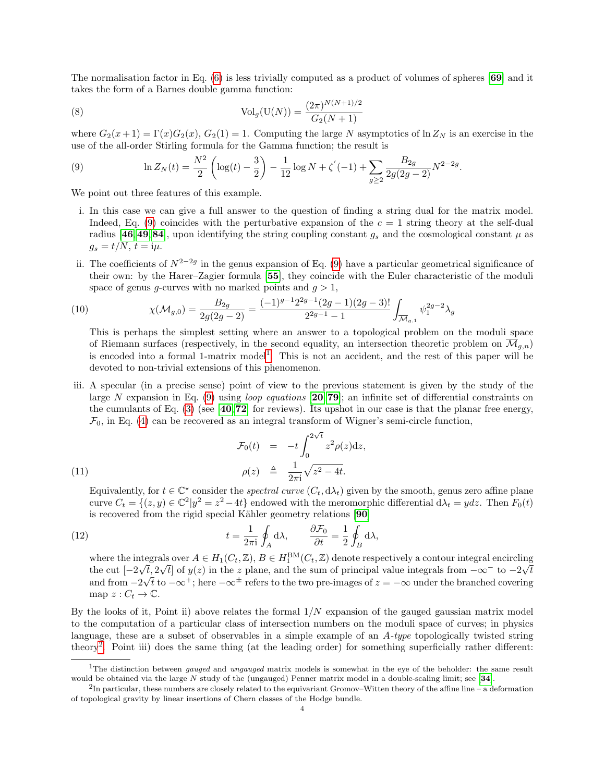The normalisation factor in Eq. [\(6\)](#page-3-5) is less trivially computed as a product of volumes of spheres [[69](#page-17-21)] and it takes the form of a Barnes double gamma function:

(8) 
$$
\text{Vol}_g(\text{U}(N)) = \frac{(2\pi)^{N(N+1)/2}}{G_2(N+1)}
$$

where  $G_2(x+1) = \Gamma(x)G_2(x)$ ,  $G_2(1) = 1$ . Computing the large N asymptotics of  $\ln Z_N$  is an exercise in the use of the all-order Stirling formula for the Gamma function; the result is

<span id="page-4-0"></span>(9) 
$$
\ln Z_N(t) = \frac{N^2}{2} \left( \log(t) - \frac{3}{2} \right) - \frac{1}{12} \log N + \zeta'(-1) + \sum_{g \ge 2} \frac{B_{2g}}{2g(2g-2)} N^{2-2g}.
$$

We point out three features of this example.

- i. In this case we can give a full answer to the question of finding a string dual for the matrix model. Indeed, Eq. [\(9\)](#page-4-0) coincides with the perturbative expansion of the  $c = 1$  string theory at the self-dual radius [[46](#page-16-14),[49](#page-16-15),[84](#page-17-22)], upon identifying the string coupling constant  $g_s$  and the cosmological constant  $\mu$  as  $g_s = t/N$ ,  $t = i\mu$ .
- ii. The coefficients of  $N^{2-2g}$  in the genus expansion of Eq. [\(9\)](#page-4-0) have a particular geometrical significance of their own: by the Harer–Zagier formula [[55](#page-17-23)], they coincide with the Euler characteristic of the moduli space of genus g-curves with no marked points and  $g > 1$ ,

(10) 
$$
\chi(\mathcal{M}_{g,0}) = \frac{B_{2g}}{2g(2g-2)} = \frac{(-1)^{g-1}2^{2g-1}(2g-1)(2g-3)!}{2^{2g-1}-1} \int_{\overline{\mathcal{M}}_{g,1}} \psi_1^{2g-2} \lambda_g
$$

This is perhaps the simplest setting where an answer to a topological problem on the moduli space of Riemann surfaces (respectively, in the second equality, an intersection theoretic problem on  $\overline{\mathcal{M}}_{q,n}$ ) is encoded into a formal [1](#page-4-1)-matrix model<sup>1</sup>. This is not an accident, and the rest of this paper will be devoted to non-trivial extensions of this phenomenon.

iii. A specular (in a precise sense) point of view to the previous statement is given by the study of the large N expansion in Eq. [\(9\)](#page-4-0) using *loop equations* [[20](#page-16-12), [79](#page-17-24)]; an infinite set of differential constraints on the cumulants of Eq. [\(3\)](#page-3-2) (see [[40](#page-16-16),[72](#page-17-25)] for reviews). Its upshot in our case is that the planar free energy,  $\mathcal{F}_0$ , in Eq. [\(4\)](#page-3-3) can be recovered as an integral transform of Wigner's semi-circle function,

(11)  
\n
$$
\mathcal{F}_0(t) = -t \int_0^{2\sqrt{t}} z^2 \rho(z) dz,
$$
\n
$$
\rho(z) \triangleq \frac{1}{2\pi i} \sqrt{z^2 - 4t}.
$$

Equivalently, for  $t \in \mathbb{C}^*$  consider the *spectral curve*  $(C_t, d\lambda_t)$  given by the smooth, genus zero affine plane curve  $C_t = \{(z, y) \in \mathbb{C}^2 | y^2 = z^2 - 4t \}$  endowed with the meromorphic differential  $d\lambda_t = ydz$ . Then  $F_0(t)$ is recovered from the rigid special Kähler geometry relations [[90](#page-17-26)]

(12) 
$$
t = \frac{1}{2\pi i} \oint_A d\lambda, \qquad \frac{\partial \mathcal{F}_0}{\partial t} = \frac{1}{2} \oint_B d\lambda,
$$

<span id="page-4-3"></span>where the integrals over  $A \in H_1(C_t, \mathbb{Z})$ ,  $B \in H_1^{\text{BM}}(C_t, \mathbb{Z})$  denote respectively a contour integral encircling the cut  $[-2\sqrt{t}, 2\sqrt{t}]$  of  $y(z)$  in the z plane, and the sum of principal value integrals from  $-\infty^-$  to  $-2\sqrt{t}$ and from  $-2\sqrt{t}$  to  $-\infty^{+}$ ; here  $-\infty^{\pm}$  refers to the two pre-images of  $z = -\infty$  under the branched covering map  $z: C_t \to \mathbb{C}$ .

By the looks of it, Point ii) above relates the formal  $1/N$  expansion of the gauged gaussian matrix model to the computation of a particular class of intersection numbers on the moduli space of curves; in physics language, these are a subset of observables in a simple example of an A-type topologically twisted string theory<sup>[2](#page-4-2)</sup>. Point iii) does the same thing (at the leading order) for something superficially rather different:

<span id="page-4-1"></span><sup>&</sup>lt;sup>1</sup>The distinction between *gauged* and *ungauged* matrix models is somewhat in the eye of the beholder: the same result would be obtained via the large N study of the (ungauged) Penner matrix model in a double-scaling limit; see [[34](#page-16-13)].

<span id="page-4-2"></span> ${}^{2}$ In particular, these numbers are closely related to the equivariant Gromov–Witten theory of the affine line – a deformation of topological gravity by linear insertions of Chern classes of the Hodge bundle.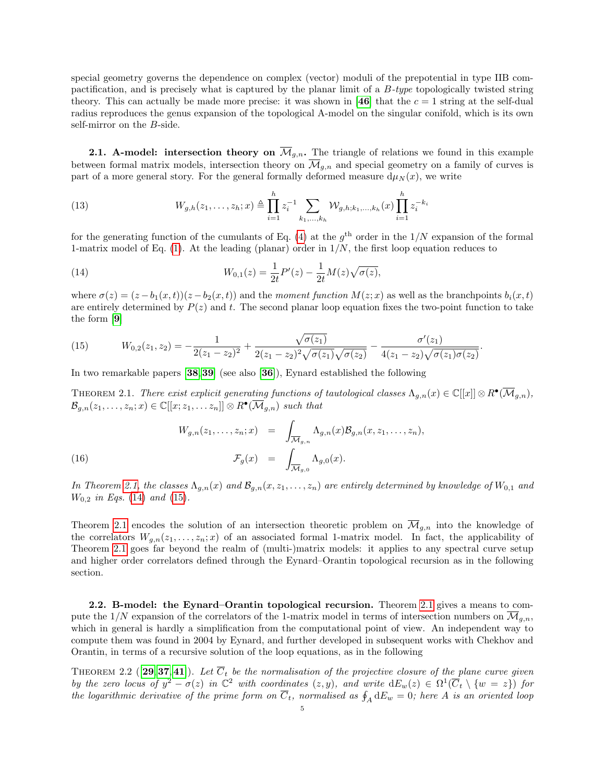special geometry governs the dependence on complex (vector) moduli of the prepotential in type IIB compactification, and is precisely what is captured by the planar limit of a B-type topologically twisted string theory. This can actually be made more precise: it was shown in [[46](#page-16-14)] that the  $c = 1$  string at the self-dual radius reproduces the genus expansion of the topological A-model on the singular conifold, which is its own self-mirror on the B-side.

2.1. A-model: intersection theory on  $\overline{\mathcal{M}}_{g,n}$ . The triangle of relations we found in this example between formal matrix models, intersection theory on  $\overline{\mathcal{M}}_{g,n}$  and special geometry on a family of curves is part of a more general story. For the general formally deformed measure  $d\mu_N(x)$ , we write

(13) 
$$
W_{g,h}(z_1,\ldots,z_h;x) \triangleq \prod_{i=1}^h z_i^{-1} \sum_{k_1,\ldots,k_h} \mathcal{W}_{g,h;k_1,\ldots,k_h}(x) \prod_{i=1}^h z_i^{-k_i}
$$

for the generating function of the cumulants of Eq. [\(4\)](#page-3-3) at the  $g<sup>th</sup>$  order in the  $1/N$  expansion of the formal 1-matrix model of Eq. [\(1\)](#page-3-0). At the leading (planar) order in  $1/N$ , the first loop equation reduces to

<span id="page-5-1"></span>(14) 
$$
W_{0,1}(z) = \frac{1}{2t}P'(z) - \frac{1}{2t}M(z)\sqrt{\sigma(z)},
$$

where  $\sigma(z) = (z - b_1(x, t))(z - b_2(x, t))$  and the moment function  $M(z; x)$  as well as the branchpoints  $b_i(x, t)$ are entirely determined by  $P(z)$  and t. The second planar loop equation fixes the two-point function to take the form [[9](#page-15-8)]

<span id="page-5-2"></span>(15) 
$$
W_{0,2}(z_1,z_2) = -\frac{1}{2(z_1-z_2)^2} + \frac{\sqrt{\sigma(z_1)}}{2(z_1-z_2)^2\sqrt{\sigma(z_1)}\sqrt{\sigma(z_2)}} - \frac{\sigma'(z_1)}{4(z_1-z_2)\sqrt{\sigma(z_1)}\sigma(z_2)}.
$$

In two remarkable papers [[38](#page-16-17),[39](#page-16-18)] (see also [[36](#page-16-19)]), Eynard established the following

THEOREM 2.1. There exist explicit generating functions of tautological classes  $\Lambda_{g,n}(x) \in \mathbb{C}[[x]] \otimes R^{\bullet}(\overline{\mathcal{M}}_{g,n}),$  $\mathcal{B}_{g,n}(z_1,\ldots,z_n;x) \in \mathbb{C}[[x;z_1,\ldots z_n]] \otimes R^{\bullet}(\overline{\mathcal{M}}_{g,n})$  such that

<span id="page-5-0"></span>(16)  

$$
W_{g,n}(z_1,\ldots,z_n;x) = \int_{\overline{\mathcal{M}}_{g,n}} \Lambda_{g,n}(x) \mathcal{B}_{g,n}(x,z_1,\ldots,z_n),
$$

$$
\mathcal{F}_g(x) = \int_{\overline{\mathcal{M}}_{g,0}} \Lambda_{g,0}(x).
$$

In Theorem [2.1,](#page-5-0) the classes  $\Lambda_{q,n}(x)$  and  $\mathcal{B}_{q,n}(x, z_1, \ldots, z_n)$  are entirely determined by knowledge of  $W_{0,1}$  and  $W_{0,2}$  in Eqs. [\(14\)](#page-5-1) and [\(15\)](#page-5-2).

Theorem [2.1](#page-5-0) encodes the solution of an intersection theoretic problem on  $\overline{\mathcal{M}}_{g,n}$  into the knowledge of the correlators  $W_{g,n}(z_1,\ldots,z_n;x)$  of an associated formal 1-matrix model. In fact, the applicability of Theorem [2.1](#page-5-0) goes far beyond the realm of (multi-)matrix models: it applies to any spectral curve setup and higher order correlators defined through the Eynard–Orantin topological recursion as in the following section.

2.2. B-model: the Eynard–Orantin topological recursion. Theorem [2.1](#page-5-0) gives a means to compute the  $1/N$  expansion of the correlators of the 1-matrix model in terms of intersection numbers on  $\overline{\mathcal{M}}_{q,n}$ , which in general is hardly a simplification from the computational point of view. An independent way to compute them was found in 2004 by Eynard, and further developed in subsequent works with Chekhov and Orantin, in terms of a recursive solution of the loop equations, as in the following

THEOREM 2.2 ([[29](#page-16-20), [37](#page-16-21), [41](#page-16-4)]). Let  $\overline{C}_t$  be the normalisation of the projective closure of the plane curve given by the zero locus of  $y^2 - \sigma(z)$  in  $\mathbb{C}^2$  with coordinates  $(z, y)$ , and write  $dE_w(z) \in \Omega^1(\overline{C}_t \setminus \{w = z\})$  for the logarithmic derivative of the prime form on  $\overline{C}_t$ , normalised as  $\oint_A {\rm d}E_w=0$ ; here  $A$  is an oriented loop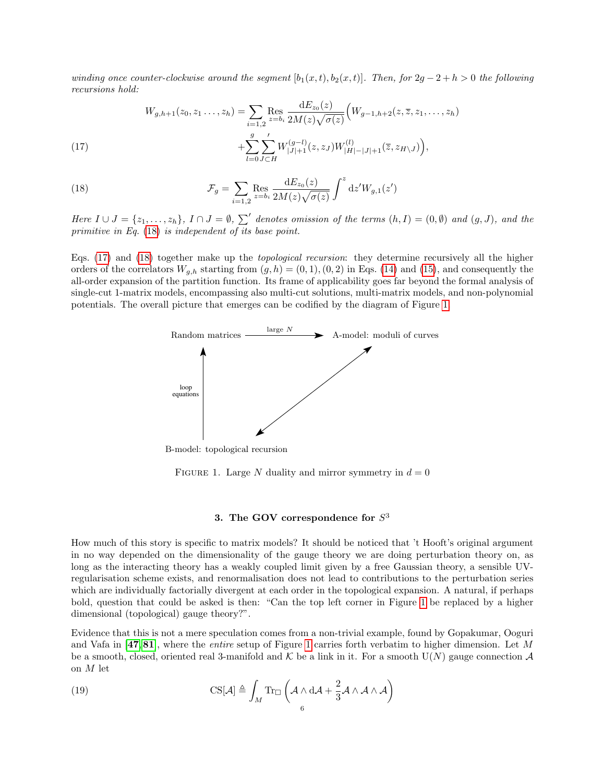winding once counter-clockwise around the segment  $[b_1(x,t), b_2(x,t)]$ . Then, for  $2g - 2 + h > 0$  the following recursions hold:

<span id="page-6-2"></span>(17) 
$$
W_{g,h+1}(z_0, z_1, \ldots, z_h) = \sum_{i=1,2} \text{Res}_{z=b_i} \frac{dE_{z_0}(z)}{2M(z)\sqrt{\sigma(z)}} \Big( W_{g-1,h+2}(z, \overline{z}, z_1, \ldots, z_h) + \sum_{j=1,2}^g \sum_{j=1}^r W_{|J|+1}^{(g-1)}(z, z_J) W_{|H|-|J|+1}^{(l)}(\overline{z}, z_H \setminus J) \Big),
$$

(18) 
$$
\mathcal{F}_g = \sum_{i=1,2} \text{Res}_{z=b_i} \frac{dE_{z_0}(z)}{2M(z)\sqrt{\sigma(z)}} \int^z dz' W_{g,1}(z')
$$

<span id="page-6-1"></span> $l=0$   $J$ ⊂ $H$ 

Here  $I \cup J = \{z_1, \ldots, z_h\}$ ,  $I \cap J = \emptyset$ ,  $\sum'$  denotes omission of the terms  $(h, I) = (0, \emptyset)$  and  $(g, J)$ , and the primitive in Eq. [\(18\)](#page-6-1) is independent of its base point.

<span id="page-6-3"></span>Eqs. [\(17\)](#page-6-2) and [\(18\)](#page-6-1) together make up the topological recursion: they determine recursively all the higher orders of the correlators  $W_{q,h}$  starting from  $(g,h) = (0,1), (0, 2)$  in Eqs. [\(14\)](#page-5-1) and [\(15\)](#page-5-2), and consequently the all-order expansion of the partition function. Its frame of applicability goes far beyond the formal analysis of single-cut 1-matrix models, encompassing also multi-cut solutions, multi-matrix models, and non-polynomial potentials. The overall picture that emerges can be codified by the diagram of Figure [1.](#page-6-3)



B-model: topological recursion

FIGURE 1. Large N duality and mirror symmetry in  $d = 0$ 

# 3. The GOV correspondence for  $S^3$

<span id="page-6-0"></span>How much of this story is specific to matrix models? It should be noticed that 't Hooft's original argument in no way depended on the dimensionality of the gauge theory we are doing perturbation theory on, as long as the interacting theory has a weakly coupled limit given by a free Gaussian theory, a sensible UVregularisation scheme exists, and renormalisation does not lead to contributions to the perturbation series which are individually factorially divergent at each order in the topological expansion. A natural, if perhaps bold, question that could be asked is then: "Can the top left corner in Figure [1](#page-6-3) be replaced by a higher dimensional (topological) gauge theory?".

Evidence that this is not a mere speculation comes from a non-trivial example, found by Gopakumar, Ooguri and Vafa in  $[47,81]$  $[47,81]$  $[47,81]$  $[47,81]$  $[47,81]$ , where the *entire* setup of Figure [1](#page-6-3) carries forth verbatim to higher dimension. Let M be a smooth, closed, oriented real 3-manifold and K be a link in it. For a smooth  $U(N)$  gauge connection A on  $M$  let

(19) 
$$
\text{CS}[\mathcal{A}] \triangleq \int_M \text{Tr}_{\Box} \left( \mathcal{A} \wedge d\mathcal{A} + \frac{2}{3} \mathcal{A} \wedge \mathcal{A} \wedge \mathcal{A} \right)
$$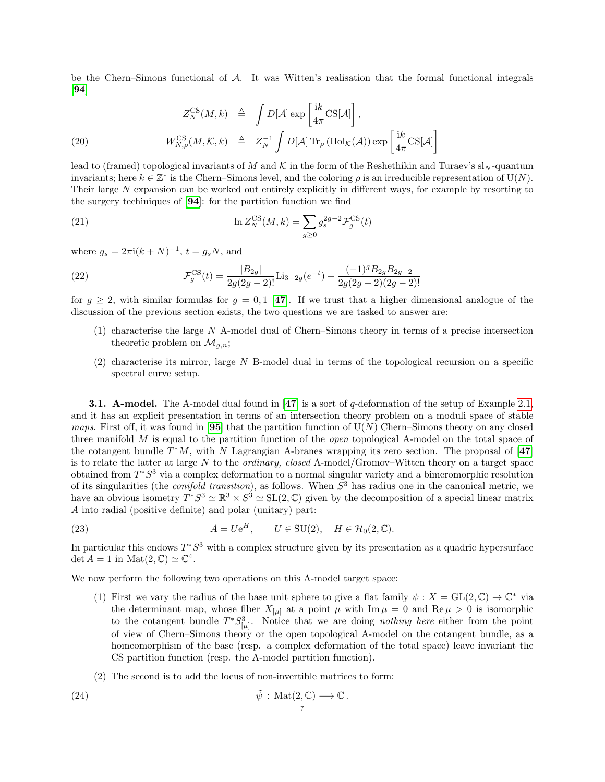be the Chern–Simons functional of  $A$ . It was Witten's realisation that the formal functional integrals [[94](#page-18-0)]

<span id="page-7-1"></span>
$$
Z_N^{\text{CS}}(M,k) \triangleq \int D[\mathcal{A}] \exp \left[\frac{\mathrm{i}k}{4\pi} \mathrm{CS}[\mathcal{A}]\right],
$$

(20) 
$$
W_{N,\rho}^{\text{CS}}(M,\mathcal{K},k) \triangleq Z_N^{-1} \int D[\mathcal{A}] \text{Tr}_{\rho} (\text{Hol}_{\mathcal{K}}(\mathcal{A})) \exp \left[\frac{\mathrm{i}k}{4\pi} \text{CS}[\mathcal{A}]\right]
$$

lead to (framed) topological invariants of M and K in the form of the Reshethikin and Turaev's sl<sub>N</sub>-quantum invariants; here  $k \in \mathbb{Z}^*$  is the Chern–Simons level, and the coloring  $\rho$  is an irreducible representation of U(N). Their large N expansion can be worked out entirely explicitly in different ways, for example by resorting to the surgery techiniques of [[94](#page-18-0)]: for the partition function we find

(21) 
$$
\ln Z_N^{\text{CS}}(M,k) = \sum_{g \ge 0} g_s^{2g-2} \mathcal{F}_g^{\text{CS}}(t)
$$

where  $g_s = 2\pi i (k+N)^{-1}$ ,  $t = g_s N$ , and

(22) 
$$
\mathcal{F}_g^{\text{CS}}(t) = \frac{|B_{2g}|}{2g(2g-2)!} \text{Li}_{3-2g}(e^{-t}) + \frac{(-1)^g B_{2g} B_{2g-2}}{2g(2g-2)(2g-2)!}
$$

for  $g \ge 2$ , with similar formulas for  $g = 0, 1$  [[47](#page-16-0)]. If we trust that a higher dimensional analogue of the discussion of the previous section exists, the two questions we are tasked to answer are:

- <span id="page-7-0"></span>(1) characterise the large N A-model dual of Chern–Simons theory in terms of a precise intersection theoretic problem on  $\overline{\mathcal{M}}_{q,n}$ ;
- (2) characterise its mirror, large N B-model dual in terms of the topological recursion on a specific spectral curve setup.

**3.1. A-model.** The A-model dual found in [[47](#page-16-0)] is a sort of q-deformation of the setup of Example [2.1,](#page-4-3) and it has an explicit presentation in terms of an intersection theory problem on a moduli space of stable *maps.* First off, it was found in [[95](#page-18-1)] that the partition function of  $U(N)$  Chern–Simons theory on any closed three manifold  $M$  is equal to the partition function of the *open* topological A-model on the total space of the cotangent bundle  $T^*M$ , with N Lagrangian A-branes wrapping its zero section. The proposal of [[47](#page-16-0)] is to relate the latter at large N to the *ordinary, closed* A-model/Gromov–Witten theory on a target space obtained from  $T^*S^3$  via a complex deformation to a normal singular variety and a bimeromorphic resolution of its singularities (the *conifold transition*), as follows. When  $S<sup>3</sup>$  has radius one in the canonical metric, we have an obvious isometry  $T^*S^3 \simeq \mathbb{R}^3 \times S^3 \simeq SL(2,\mathbb{C})$  given by the decomposition of a special linear matrix A into radial (positive definite) and polar (unitary) part:

(23) 
$$
A = Ue^H, \qquad U \in SU(2), \quad H \in \mathcal{H}_0(2,\mathbb{C}).
$$

In particular this endows  $T^*S^3$  with a complex structure given by its presentation as a quadric hypersurface det  $A = 1$  in  $\text{Mat}(2, \mathbb{C}) \simeq \mathbb{C}^4$ .

We now perform the following two operations on this A-model target space:

- (1) First we vary the radius of the base unit sphere to give a flat family  $\psi : X = GL(2, \mathbb{C}) \to \mathbb{C}^*$  via the determinant map, whose fiber  $X_{\mu}$  at a point  $\mu$  with Im  $\mu = 0$  and Re  $\mu > 0$  is isomorphic to the cotangent bundle  $T^*S^3_{[\mu]}$ . Notice that we are doing *nothing here* either from the point of view of Chern–Simons theory or the open topological A-model on the cotangent bundle, as a homeomorphism of the base (resp. a complex deformation of the total space) leave invariant the CS partition function (resp. the A-model partition function).
- (2) The second is to add the locus of non-invertible matrices to form:

(24) 
$$
\tilde{\psi}: \text{Mat}(2, \mathbb{C}) \longrightarrow \mathbb{C}.
$$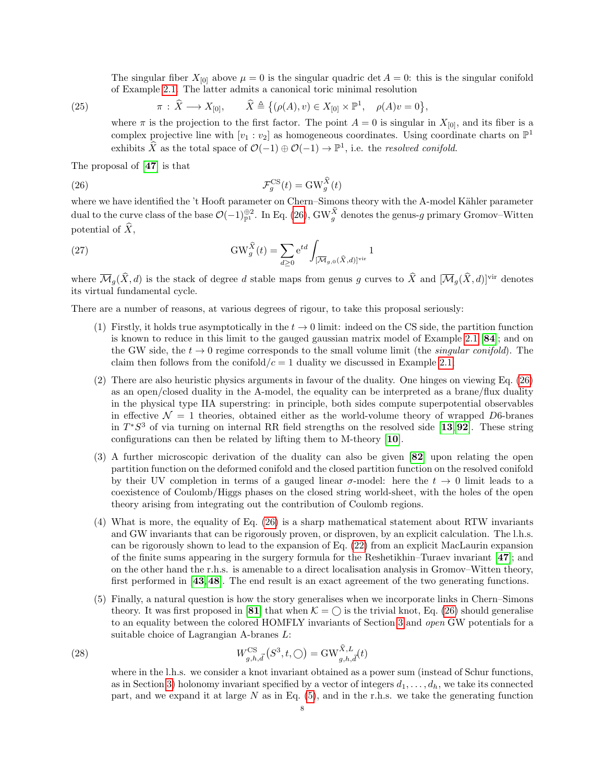The singular fiber  $X_{[0]}$  above  $\mu = 0$  is the singular quadric det  $A = 0$ : this is the singular conifold of Example [2.1.](#page-4-3) The latter admits a canonical toric minimal resolution

(25) 
$$
\pi : \widehat{X} \longrightarrow X_{[0]}, \qquad \widehat{X} \triangleq \{(\rho(A), v) \in X_{[0]} \times \mathbb{P}^1, \quad \rho(A)v = 0\},
$$

<span id="page-8-1"></span><span id="page-8-0"></span>where  $\pi$  is the projection to the first factor. The point  $A = 0$  is singular in  $X_{[0]}$ , and its fiber is a complex projective line with  $[v_1 : v_2]$  as homogeneous coordinates. Using coordinate charts on  $\mathbb{P}^1$ exhibits  $\widehat{X}$  as the total space of  $\mathcal{O}(-1) \oplus \mathcal{O}(-1) \to \mathbb{P}^1$ , i.e. the resolved conifold.

The proposal of [[47](#page-16-0)] is that

(26) 
$$
\mathcal{F}_g^{\text{CS}}(t) = \text{GW}_g^{\hat{X}}(t)
$$

where we have identified the 't Hooft parameter on Chern–Simons theory with the A-model Kähler parameter dual to the curve class of the base  $\mathcal{O}(-1)_{\mathbb{P}^1}^{\oplus 2}$ . In Eq. [\(26\)](#page-8-0), GW<sub>g</sub> denotes the genus-g primary Gromov–Witten potential of  $\widehat{X}$ ,

(27) 
$$
\text{GW}_{g}^{\widehat{X}}(t) = \sum_{d \geq 0} e^{td} \int_{[\overline{\mathcal{M}}_{g,0}(\widehat{X},d)]^{\text{vir}}} 1
$$

where  $\overline{\mathcal{M}}_g(\hat{X}, d)$  is the stack of degree d stable maps from genus g curves to  $\hat{X}$  and  $[\overline{\mathcal{M}}_g(\hat{X}, d)]^{\text{vir}}$  denotes its virtual fundamental cycle.

There are a number of reasons, at various degrees of rigour, to take this proposal seriously:

- (1) Firstly, it holds true asymptotically in the  $t \to 0$  limit: indeed on the CS side, the partition function is known to reduce in this limit to the gauged gaussian matrix model of Example [2.1](#page-4-3) [[84](#page-17-22)]; and on the GW side, the  $t \to 0$  regime corresponds to the small volume limit (the *singular conifold*). The claim then follows from the conifold  $/c = 1$  duality we discussed in Example [2.1;](#page-4-3)
- (2) There are also heuristic physics arguments in favour of the duality. One hinges on viewing Eq. [\(26\)](#page-8-0) as an open/closed duality in the A-model, the equality can be interpreted as a brane/flux duality in the physical type IIA superstring: in principle, both sides compute superpotential observables in effective  $\mathcal{N} = 1$  theories, obtained either as the world-volume theory of wrapped D6-branes in  $T^*S^3$  of via turning on internal RR field strengths on the resolved side [[13](#page-15-9),[92](#page-18-2)]. These string configurations can then be related by lifting them to M-theory [[10](#page-15-10)].
- (3) A further microscopic derivation of the duality can also be given [[82](#page-17-1)] upon relating the open partition function on the deformed conifold and the closed partition function on the resolved conifold by their UV completion in terms of a gauged linear  $\sigma$ -model: here the  $t \to 0$  limit leads to a coexistence of Coulomb/Higgs phases on the closed string world-sheet, with the holes of the open theory arising from integrating out the contribution of Coulomb regions.
- (4) What is more, the equality of Eq. [\(26\)](#page-8-0) is a sharp mathematical statement about RTW invariants and GW invariants that can be rigorously proven, or disproven, by an explicit calculation. The l.h.s. can be rigorously shown to lead to the expansion of Eq. [\(22\)](#page-7-0) from an explicit MacLaurin expansion of the finite sums appearing in the surgery formula for the Reshetikhin–Turaev invariant [[47](#page-16-0)]; and on the other hand the r.h.s. is amenable to a direct localisation analysis in Gromov–Witten theory, first performed in [[43](#page-16-22),[48](#page-16-23)]. The end result is an exact agreement of the two generating functions.
- (5) Finally, a natural question is how the story generalises when we incorporate links in Chern–Simons theory. It was first proposed in [[81](#page-17-0)] that when  $\mathcal{K} = \bigcirc$  is the trivial knot, Eq. [\(26\)](#page-8-0) should generalise to an equality between the colored HOMFLY invariants of Section [3](#page-7-1) and open GW potentials for a suitable choice of Lagrangian A-branes L:

(28) 
$$
W_{g,h,\vec{d}}^{\text{CS}}(S^3,t,\bigcirc) = \text{GW}_{g,h,\vec{d}}^{\hat{X},L}(t)
$$

where in the l.h.s. we consider a knot invariant obtained as a power sum (instead of Schur functions, as in Section [3\)](#page-7-1) holonomy invariant specified by a vector of integers  $d_1, \ldots, d_h$ , we take its connected part, and we expand it at large  $N$  as in Eq.  $(5)$ , and in the r.h.s. we take the generating function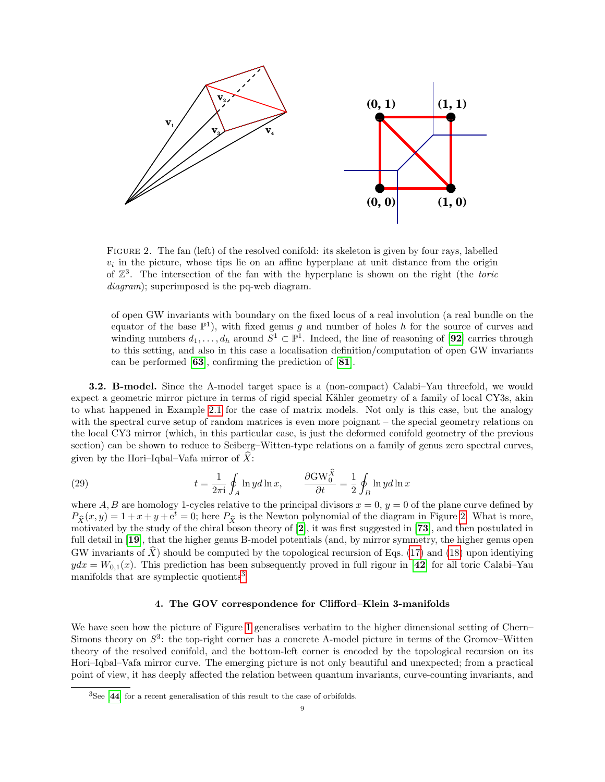<span id="page-9-1"></span>

Figure 2. The fan (left) of the resolved conifold: its skeleton is given by four rays, labelled  $v_i$  in the picture, whose tips lie on an affine hyperplane at unit distance from the origin of  $\mathbb{Z}^3$ . The intersection of the fan with the hyperplane is shown on the right (the toric diagram); superimposed is the pq-web diagram.

of open GW invariants with boundary on the fixed locus of a real involution (a real bundle on the equator of the base  $\mathbb{P}^1$ ), with fixed genus g and number of holes h for the source of curves and winding numbers  $d_1, \ldots, d_h$  around  $S^1 \subset \mathbb{P}^1$ . Indeed, the line of reasoning of [[92](#page-18-2)] carries through to this setting, and also in this case a localisation definition/computation of open GW invariants can be performed [[63](#page-17-27)], confirming the prediction of [[81](#page-17-0)].

3.2. B-model. Since the A-model target space is a (non-compact) Calabi–Yau threefold, we would expect a geometric mirror picture in terms of rigid special Kähler geometry of a family of local CY3s, akin to what happened in Example [2.1](#page-4-3) for the case of matrix models. Not only is this case, but the analogy with the spectral curve setup of random matrices is even more poignant – the special geometry relations on the local CY3 mirror (which, in this particular case, is just the deformed conifold geometry of the previous section) can be shown to reduce to Seiberg–Witten-type relations on a family of genus zero spectral curves, given by the Hori–Iqbal–Vafa mirror of  $\hat{X}$ :

<span id="page-9-3"></span>(29) 
$$
t = \frac{1}{2\pi i} \oint_A \ln y d\ln x, \qquad \frac{\partial \text{GW}_0^{\hat{X}}}{\partial t} = \frac{1}{2} \oint_B \ln y d\ln x
$$

where A, B are homology 1-cycles relative to the principal divisors  $x = 0$ ,  $y = 0$  of the plane curve defined by  $P_{\hat{\chi}}(x, y) = 1 + x + y + e^t = 0$ ; here  $P_{\hat{\chi}}$  is the Newton polynomial of the diagram in Figure [2.](#page-9-1) What is more, motivated by the study of the chiral boson theory of  $[2]$  $[2]$  $[2]$ , it was first suggested in  $[73]$  $[73]$  $[73]$ , and then postulated in full detail in [[19](#page-16-2)], that the higher genus B-model potentials (and, by mirror symmetry, the higher genus open GW invariants of  $\hat{X}$ ) should be computed by the topological recursion of Eqs. [\(17\)](#page-6-2) and [\(18\)](#page-6-1) upon identiying  $ydx = W_{0,1}(x)$ . This prediction has been subsequently proved in full rigour in [[42](#page-16-3)] for all toric Calabi–Yau manifolds that are symplectic quotients<sup>[3](#page-9-2)</sup>.

## 4. The GOV correspondence for Clifford–Klein 3-manifolds

<span id="page-9-0"></span>We have seen how the picture of Figure [1](#page-6-3) generalises verbatim to the higher dimensional setting of Chern– Simons theory on  $S^3$ : the top-right corner has a concrete A-model picture in terms of the Gromov–Witten theory of the resolved conifold, and the bottom-left corner is encoded by the topological recursion on its Hori–Iqbal–Vafa mirror curve. The emerging picture is not only beautiful and unexpected; from a practical point of view, it has deeply affected the relation between quantum invariants, curve-counting invariants, and

<span id="page-9-2"></span> ${}^{3}$ See [[44](#page-16-24)] for a recent generalisation of this result to the case of orbifolds.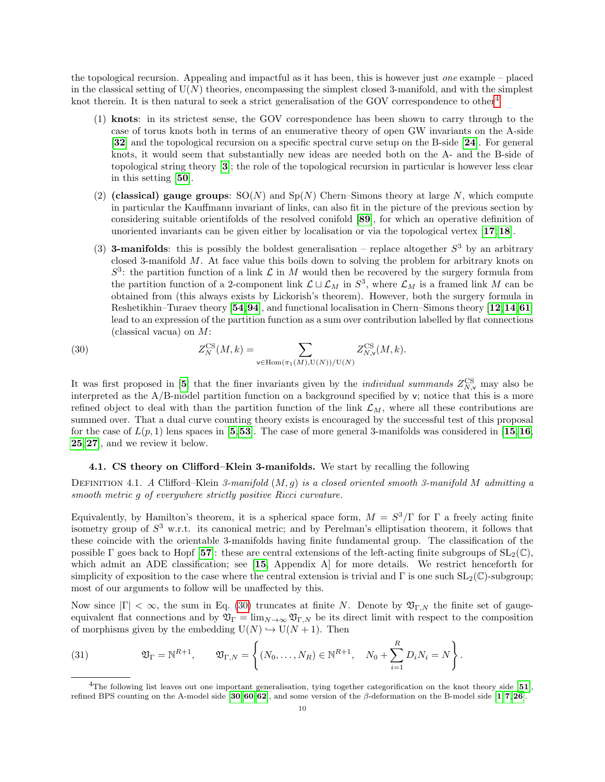the topological recursion. Appealing and impactful as it has been, this is however just one example – placed in the classical setting of  $U(N)$  theories, encompassing the simplest closed 3-manifold, and with the simplest knot therein. It is then natural to seek a strict generalisation of the GOV correspondence to other<sup>[4](#page-10-0)</sup>

- (1) knots: in its strictest sense, the GOV correspondence has been shown to carry through to the case of torus knots both in terms of an enumerative theory of open GW invariants on the A-side [[32](#page-16-25)] and the topological recursion on a specific spectral curve setup on the B-side [[24](#page-16-6)]. For general knots, it would seem that substantially new ideas are needed both on the A- and the B-side of topological string theory [[3](#page-15-4)]; the role of the topological recursion in particular is however less clear in this setting [[50](#page-16-26)].
- (2) (classical) gauge groups:  $SO(N)$  and  $Sp(N)$  Chern–Simons theory at large N, which compute in particular the Kauffmann invariant of links, can also fit in the picture of the previous section by considering suitable orientifolds of the resolved conifold [[89](#page-17-16)], for which an operative definition of unoriented invariants can be given either by localisation or via the topological vertex  $\ket{17,18}$  $\ket{17,18}$  $\ket{17,18}$  $\ket{17,18}$  $\ket{17,18}$ .
- (3) **3-manifolds**: this is possibly the boldest generalisation replace altogether  $S^3$  by an arbitrary closed 3-manifold M. At face value this boils down to solving the problem for arbitrary knots on  $S^3$ : the partition function of a link  $\mathcal L$  in M would then be recovered by the surgery formula from the partition function of a 2-component link  $\mathcal{L} \sqcup \mathcal{L}_M$  in  $S^3$ , where  $\mathcal{L}_M$  is a framed link M can be obtained from (this always exists by Lickorish's theorem). However, both the surgery formula in Reshetikhin–Turaev theory [[54](#page-17-28),[94](#page-18-0)], and functional localisation in Chern–Simons theory [[12](#page-15-12),[14](#page-15-13),[61](#page-17-29)] lead to an expression of the partition function as a sum over contribution labelled by flat connections (classical vacua) on M:

<span id="page-10-1"></span>(30) 
$$
Z_N^{\text{CS}}(M,k) = \sum_{\mathbf{v} \in \text{Hom}(\pi_1(M), \mathbf{U}(N))/\mathbf{U}(N)} Z_{N,\mathbf{v}}^{\text{CS}}(M,k).
$$

It was first proposed in [[5](#page-15-6)] that the finer invariants given by the *individual summands*  $Z_{N,\mathsf{v}}^{\text{CS}}$  may also be interpreted as the  $A/B$ -model partition function on a background specified by  $v$ ; notice that this is a more refined object to deal with than the partition function of the link  $\mathcal{L}_M$ , where all these contributions are summed over. That a dual curve counting theory exists is encouraged by the successful test of this proposal for the case of  $L(p, 1)$  lens spaces in [[5](#page-15-6),[53](#page-16-10)]. The case of more general 3-manifolds was considered in [[15](#page-15-7),[16](#page-15-14), [25](#page-16-8),[27](#page-16-11)], and we review it below.

# 4.1. CS theory on Clifford–Klein 3-manifolds. We start by recalling the following

DEFINITION 4.1. A Clifford–Klein 3-manifold  $(M, g)$  is a closed oriented smooth 3-manifold M admitting a smooth metric g of everywhere strictly positive Ricci curvature.

Equivalently, by Hamilton's theorem, it is a spherical space form,  $M = S^3/\Gamma$  for  $\Gamma$  a freely acting finite isometry group of  $S^3$  w.r.t. its canonical metric; and by Perelman's elliptisation theorem, it follows that these coincide with the orientable 3-manifolds having finite fundamental group. The classification of the possible Γ goes back to Hopf [[57](#page-17-30)]: these are central extensions of the left-acting finite subgroups of  $SL_2(\mathbb{C})$ , which admit an ADE classification; see [[15](#page-15-7), Appendix A] for more details. We restrict henceforth for simplicity of exposition to the case where the central extension is trivial and Γ is one such  $SL_2(\mathbb{C})$ -subgroup; most of our arguments to follow will be unaffected by this.

Now since  $|\Gamma| < \infty$ , the sum in Eq. [\(30\)](#page-10-1) truncates at finite N. Denote by  $\mathfrak{V}_{\Gamma,N}$  the finite set of gaugeequivalent flat connections and by  $\mathfrak{V}_{\Gamma} = \lim_{N \to \infty} \mathfrak{V}_{\Gamma,N}$  be its direct limit with respect to the composition of morphisms given by the embedding  $U(N) \hookrightarrow U(N + 1)$ . Then

(31) 
$$
\mathfrak{V}_{\Gamma} = \mathbb{N}^{R+1}, \qquad \mathfrak{V}_{\Gamma,N} = \left\{ (N_0, \ldots, N_R) \in \mathbb{N}^{R+1}, \quad N_0 + \sum_{i=1}^R D_i N_i = N \right\}.
$$

<span id="page-10-0"></span><sup>&</sup>lt;sup>4</sup>The following list leaves out one important generalisation, tying together categorification on the knot theory side  $[51]$  $[51]$  $[51]$ , refined BPS counting on the A-model side [[30](#page-16-27),[60](#page-17-31),[62](#page-17-32)], and some version of the β-deformation on the B-model side [[1](#page-15-15),[7](#page-15-5),[26](#page-16-28)].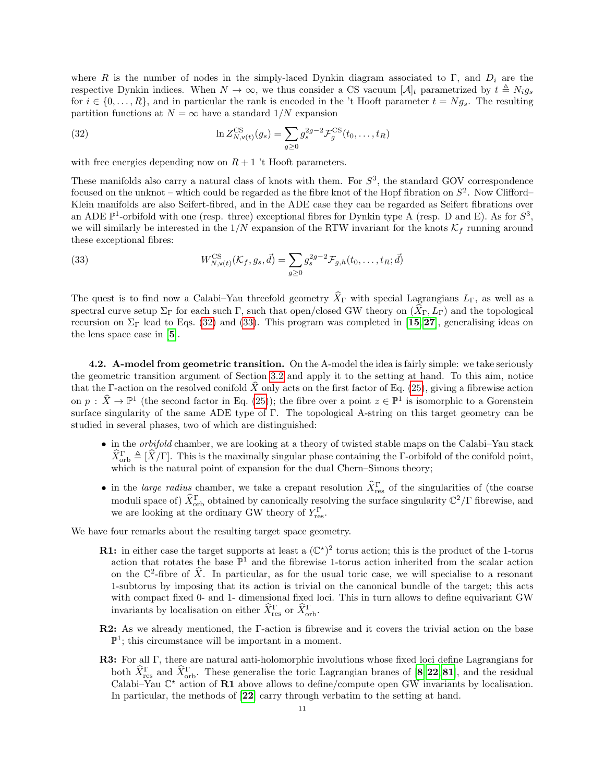where R is the number of nodes in the simply-laced Dynkin diagram associated to Γ, and  $D_i$  are the respective Dynkin indices. When  $N \to \infty$ , we thus consider a CS vacuum  $[\mathcal{A}]_t$  parametrized by  $t \triangleq N_i g_s$ for  $i \in \{0, \ldots, R\}$ , and in particular the rank is encoded in the 't Hooft parameter  $t = Ng_s$ . The resulting partition functions at  $N = \infty$  have a standard  $1/N$  expansion

<span id="page-11-0"></span>(32) 
$$
\ln Z_{N,\mathbf{v}(t)}^{\text{CS}}(g_s) = \sum_{g\geq 0} g_s^{2g-2} \mathcal{F}_g^{\text{CS}}(t_0,\ldots,t_R)
$$

with free energies depending now on  $R + 1$  't Hooft parameters.

These manifolds also carry a natural class of knots with them. For  $S^3$ , the standard GOV correspondence focused on the unknot – which could be regarded as the fibre knot of the Hopf fibration on  $S^2$ . Now Clifford– Klein manifolds are also Seifert-fibred, and in the ADE case they can be regarded as Seifert fibrations over an ADE  $\mathbb{P}^1$ -orbifold with one (resp. three) exceptional fibres for Dynkin type A (resp. D and E). As for  $S^3$ , we will similarly be interested in the  $1/N$  expansion of the RTW invariant for the knots  $\mathcal{K}_f$  running around these exceptional fibres:

<span id="page-11-1"></span>(33) 
$$
W_{N,v(t)}^{\text{CS}}(\mathcal{K}_f, g_s, \vec{d}) = \sum_{g \ge 0} g_s^{2g-2} \mathcal{F}_{g,h}(t_0, \dots, t_R; \vec{d})
$$

The quest is to find now a Calabi–Yau threefold geometry  $\widehat{X}_{\Gamma}$  with special Lagrangians  $L_{\Gamma}$ , as well as a spectral curve setup  $\Sigma_{\Gamma}$  for each such Γ, such that open/closed GW theory on  $(X_{\Gamma}, L_{\Gamma})$  and the topological recursion on  $\Sigma_{\Gamma}$  lead to Eqs. [\(32\)](#page-11-0) and [\(33\)](#page-11-1). This program was completed in [[15](#page-15-7), [27](#page-16-11)], generalising ideas on the lens space case in [[5](#page-15-6)].

4.2. A-model from geometric transition. On the A-model the idea is fairly simple: we take seriously the geometric transition argument of Section [3.2](#page-9-3) and apply it to the setting at hand. To this aim, notice that the Γ-action on the resolved conifold  $\hat{X}$  only acts on the first factor of Eq. [\(25\)](#page-8-1), giving a fibrewise action on  $p : \hat{X} \to \mathbb{P}^1$  (the second factor in Eq. [\(25\)](#page-8-1)); the fibre over a point  $z \in \mathbb{P}^1$  is isomorphic to a Gorenstein surface singularity of the same ADE type of Γ. The topological A-string on this target geometry can be studied in several phases, two of which are distinguished:

- in the orbifold chamber, we are looking at a theory of twisted stable maps on the Calabi–Yau stack  $\widehat{X}_{\text{orb}}^{\Gamma} \triangleq [\widehat{X}/\Gamma]$ . This is the maximally singular phase containing the *Γ*-orbifold of the conifold point, which is the natural point of expansion for the dual Chern–Simons theory;
- in the *large radius* chamber, we take a crepant resolution  $\hat{X}_{\text{res}}^{\Gamma}$  of the singularities of (the coarse moduli space of)  $\hat{X}_{\text{orb}}^{\Gamma}$  obtained by canonically resolving the surface singularity  $\mathbb{C}^{2}/\Gamma$  fibrewise, and we are looking at the ordinary GW theory of  $Y_{\text{res}}^{\Gamma}$ .

We have four remarks about the resulting target space geometry.

- **R1:** in either case the target supports at least a  $(\mathbb{C}^*)^2$  torus action; this is the product of the 1-torus action that rotates the base  $\mathbb{P}^1$  and the fibrewise 1-torus action inherited from the scalar action on the  $\mathbb{C}^2$ -fibre of  $\hat{X}$ . In particular, as for the usual toric case, we will specialise to a resonant 1-subtorus by imposing that its action is trivial on the canonical bundle of the target; this acts with compact fixed 0- and 1- dimensional fixed loci. This in turn allows to define equivariant GW invariants by localisation on either  $\hat{X}_{res}^{\Gamma}$  or  $\hat{X}_{orb}^{\Gamma}$ .
- R2: As we already mentioned, the Γ-action is fibrewise and it covers the trivial action on the base  $\mathbb{P}^1$ ; this circumstance will be important in a moment.
- R3: For all Γ, there are natural anti-holomorphic involutions whose fixed loci define Lagrangians for both  $\hat{X}_{\text{res}}^{\Gamma}$  and  $\hat{X}_{\text{orb}}^{\Gamma}$ . These generalise the toric Lagrangian branes of [[8](#page-15-16), [22](#page-16-29), [81](#page-17-0)], and the residual Calabi–Yau  $\mathbb{C}^*$  action of **R1** above allows to define/compute open GW invariants by localisation. In particular, the methods of [[22](#page-16-29)] carry through verbatim to the setting at hand.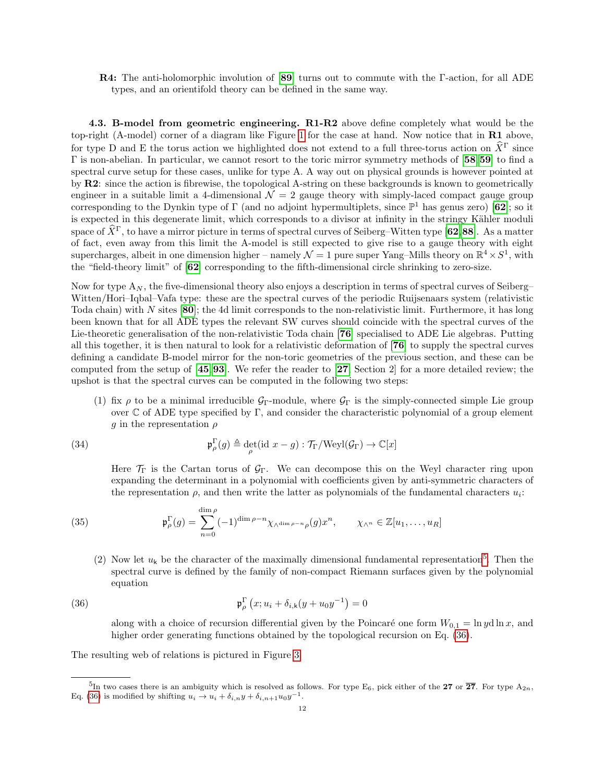R4: The anti-holomorphic involution of [[89](#page-17-16)] turns out to commute with the Γ-action, for all ADE types, and an orientifold theory can be defined in the same way.

4.3. B-model from geometric engineering. R1-R2 above define completely what would be the top-right (A-model) corner of a diagram like Figure [1](#page-6-3) for the case at hand. Now notice that in R1 above, for type D and E the torus action we highlighted does not extend to a full three-torus action on  $\hat{X}^{\Gamma}$  since Γ is non-abelian. In particular, we cannot resort to the toric mirror symmetry methods of [[58](#page-17-7),[59](#page-17-8)] to find a spectral curve setup for these cases, unlike for type A. A way out on physical grounds is however pointed at by R2: since the action is fibrewise, the topological A-string on these backgrounds is known to geometrically engineer in a suitable limit a 4-dimensional  $\mathcal{N} = 2$  gauge theory with simply-laced compact gauge group corresponding to the Dynkin type of  $\Gamma$  (and no adjoint hypermultiplets, since  $\mathbb{P}^1$  has genus zero) [[62](#page-17-32)]; so it is expected in this degenerate limit, which corresponds to a divisor at infinity in the stringy Kähler moduli space of  $\hat{X}^{\Gamma}$ , to have a mirror picture in terms of spectral curves of Seiberg–Witten type [[62](#page-17-32),[88](#page-17-33)]. As a matter of fact, even away from this limit the A-model is still expected to give rise to a gauge theory with eight supercharges, albeit in one dimension higher – namely  $\mathcal{N}=1$  pure super Yang–Mills theory on  $\mathbb{R}^4 \times S^1$ , with the "field-theory limit" of [[62](#page-17-32)] corresponding to the fifth-dimensional circle shrinking to zero-size.

Now for type  $A_N$ , the five-dimensional theory also enjoys a description in terms of spectral curves of Seiberg– Witten/Hori–Iqbal–Vafa type: these are the spectral curves of the periodic Ruijsenaars system (relativistic Toda chain) with N sites [[80](#page-17-34)]; the 4d limit corresponds to the non-relativistic limit. Furthermore, it has long been known that for all ADE types the relevant SW curves should coincide with the spectral curves of the Lie-theoretic generalisation of the non-relativistic Toda chain [[76](#page-17-35)] specialised to ADE Lie algebras. Putting all this together, it is then natural to look for a relativistic deformation of [[76](#page-17-35)] to supply the spectral curves defining a candidate B-model mirror for the non-toric geometries of the previous section, and these can be computed from the setup of  $[45,93]$  $[45,93]$  $[45,93]$  $[45,93]$  $[45,93]$ . We refer the reader to  $[27,$  $[27,$  $[27,$  Section 2 for a more detailed review; the upshot is that the spectral curves can be computed in the following two steps:

(1) fix  $\rho$  to be a minimal irreducible  $\mathcal{G}_{\Gamma}$ -module, where  $\mathcal{G}_{\Gamma}$  is the simply-connected simple Lie group over  $\mathbb C$  of ADE type specified by  $\Gamma$ , and consider the characteristic polynomial of a group element g in the representation  $\rho$ 

(34) 
$$
\mathfrak{p}_\rho^{\Gamma}(g) \triangleq \det_{\rho}(\text{id } x - g) : \mathcal{T}_{\Gamma}/\text{Weyl}(\mathcal{G}_{\Gamma}) \to \mathbb{C}[x]
$$

Here  $\mathcal{T}_{\Gamma}$  is the Cartan torus of  $\mathcal{G}_{\Gamma}$ . We can decompose this on the Weyl character ring upon expanding the determinant in a polynomial with coefficients given by anti-symmetric characters of the representation  $\rho$ , and then write the latter as polynomials of the fundamental characters  $u_i$ :

(35) 
$$
\mathfrak{p}_\rho^{\Gamma}(g) = \sum_{n=0}^{\dim \rho} (-1)^{\dim \rho - n} \chi_{\wedge^{\dim \rho - n} \rho}(g) x^n, \qquad \chi_{\wedge^n} \in \mathbb{Z}[u_1, \ldots, u_R]
$$

(2) Now let  $u_k$  be the character of the maximally dimensional fundamental representation<sup>[5](#page-12-0)</sup>. Then the spectral curve is defined by the family of non-compact Riemann surfaces given by the polynomial equation

(36) 
$$
\mathfrak{p}_\rho^{\Gamma}(x; u_i + \delta_{i,k}(y + u_0 y^{-1}) = 0
$$

<span id="page-12-1"></span>along with a choice of recursion differential given by the Poincaré one form  $W_{0,1} = \ln y \, \mathrm{d} \ln x$ , and higher order generating functions obtained by the topological recursion on Eq. [\(36\)](#page-12-1).

The resulting web of relations is pictured in Figure [3.](#page-13-0)

<span id="page-12-0"></span><sup>&</sup>lt;sup>5</sup>In two cases there is an ambiguity which is resolved as follows. For type E<sub>6</sub>, pick either of the 27 or  $\overline{27}$ . For type A<sub>2n</sub>, Eq. [\(36\)](#page-12-1) is modified by shifting  $u_i \to u_i + \delta_{i,n} y + \delta_{i,n+1} u_0 y^{-1}$ .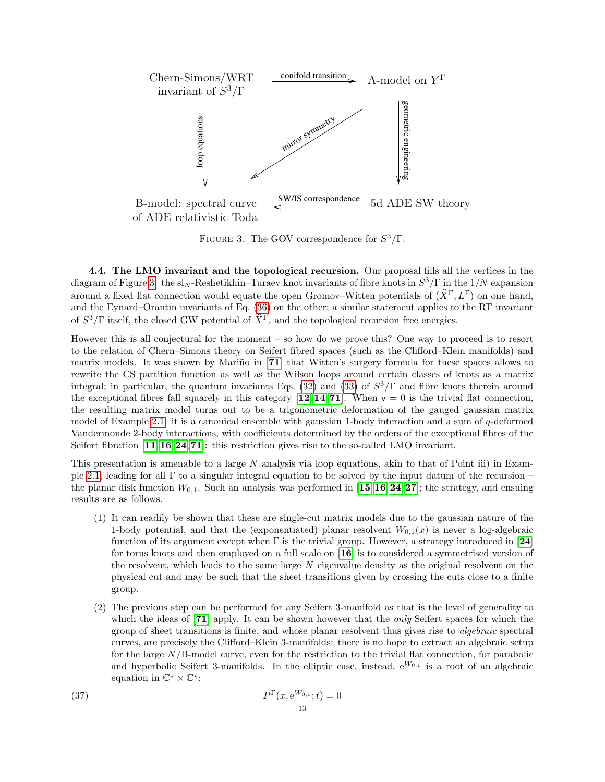<span id="page-13-0"></span>

FIGURE 3. The GOV correspondence for  $S^3/\Gamma$ .

4.4. The LMO invariant and the topological recursion. Our proposal fills all the vertices in the diagram of Figure [3:](#page-13-0) the sl<sub>N</sub>-Reshetikhin–Turaev knot invariants of fibre knots in  $S^3/\Gamma$  in the 1/N expansion around a fixed flat connection would equate the open Gromov–Witten potentials of  $(\hat{X}^{\Gamma}, L^{\Gamma})$  on one hand, and the Eynard–Orantin invariants of Eq. [\(36\)](#page-12-1) on the other; a similar statement applies to the RT invariant of  $S^3/\Gamma$  itself, the closed GW potential of  $\hat{X}^{\Gamma}$ , and the topological recursion free energies.

However this is all conjectural for the moment – so how do we prove this? One way to proceed is to resort to the relation of Chern–Simons theory on Seifert fibred spaces (such as the Clifford–Klein manifolds) and matrix models. It was shown by Mariño in [[71](#page-17-11)] that Witten's surgery formula for these spaces allows to rewrite the CS partition function as well as the Wilson loops around certain classes of knots as a matrix integral; in particular, the quantum invariants Eqs. [\(32\)](#page-11-0) and [\(33\)](#page-11-1) of  $S^3/\Gamma$  and fibre knots therein around the exceptional fibres fall squarely in this category  $[12, 14, 71]$  $[12, 14, 71]$  $[12, 14, 71]$  $[12, 14, 71]$  $[12, 14, 71]$  $[12, 14, 71]$  $[12, 14, 71]$ . When  $v = 0$  is the trivial flat connection. the resulting matrix model turns out to be a trigonometric deformation of the gauged gaussian matrix model of Example [2.1:](#page-4-3) it is a canonical ensemble with gaussian 1-body interaction and a sum of  $q$ -deformed Vandermonde 2-body interactions, with coefficients determined by the orders of the exceptional fibres of the Seifert fibration  $\left[11,16,24,71\right]$  $\left[11,16,24,71\right]$  $\left[11,16,24,71\right]$  $\left[11,16,24,71\right]$  $\left[11,16,24,71\right]$  $\left[11,16,24,71\right]$  $\left[11,16,24,71\right]$  $\left[11,16,24,71\right]$  $\left[11,16,24,71\right]$ : this restriction gives rise to the so-called LMO invariant.

This presentation is amenable to a large N analysis via loop equations, akin to that of Point iii) in Example [2.1,](#page-4-3) leading for all Γ to a singular integral equation to be solved by the input datum of the recursion – the planar disk function  $W_{0,1}$ . Such an analysis was performed in [[15](#page-15-7), [16](#page-15-14), [24](#page-16-6), [27](#page-16-11)]; the strategy, and ensuing results are as follows.

- (1) It can readily be shown that these are single-cut matrix models due to the gaussian nature of the 1-body potential, and that the (exponentiated) planar resolvent  $W_{0,1}(x)$  is never a log-algebraic function of its argument except when  $\Gamma$  is the trivial group. However, a strategy introduced in [[24](#page-16-6)] for torus knots and then employed on a full scale on [[16](#page-15-14)] is to considered a symmetrised version of the resolvent, which leads to the same large N eigenvalue density as the original resolvent on the physical cut and may be such that the sheet transitions given by crossing the cuts close to a finite group.
- (2) The previous step can be performed for any Seifert 3-manifold as that is the level of generality to which the ideas of [[71](#page-17-11)] apply. It can be shown however that the *only* Seifert spaces for which the group of sheet transitions is finite, and whose planar resolvent thus gives rise to algebraic spectral curves, are precisely the Clifford–Klein 3-manifolds: there is no hope to extract an algebraic setup for the large  $N/B$ -model curve, even for the restriction to the trivial flat connection, for parabolic and hyperbolic Seifert 3-manifolds. In the elliptic case, instead,  $e^{W_{0,1}}$  is a root of an algebraic equation in  $\mathbb{C}^* \times \mathbb{C}^*$ :

(37) 
$$
P^{\Gamma}(x, e^{W_{0,1}}; t) = 0
$$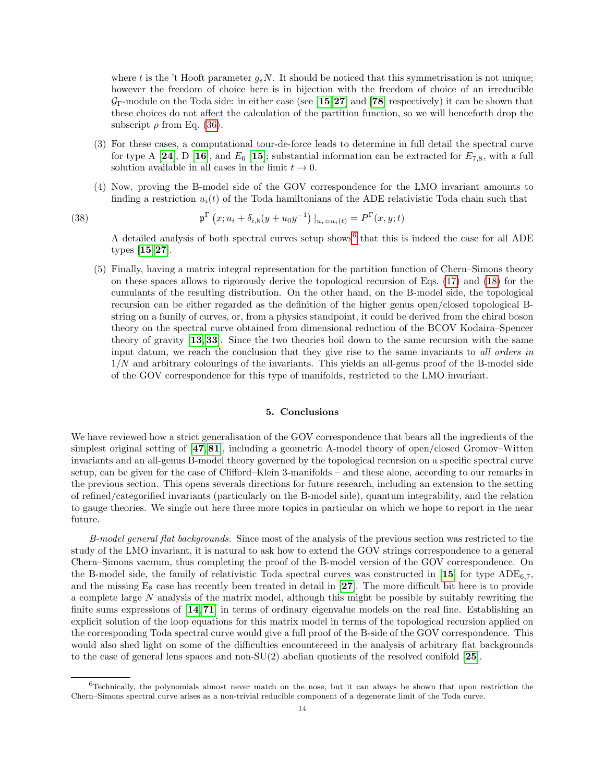where t is the 't Hooft parameter  $g_sN$ . It should be noticed that this symmetrisation is not unique; however the freedom of choice here is in bijection with the freedom of choice of an irreducible  $\mathcal{G}_{\Gamma}$ -module on the Toda side: in either case (see [[15](#page-15-7), [27](#page-16-11)] and [[78](#page-17-36)] respectively) it can be shown that these choices do not affect the calculation of the partition function, so we will henceforth drop the subscript  $\rho$  from Eq. [\(36\)](#page-12-1).

- (3) For these cases, a computational tour-de-force leads to determine in full detail the spectral curve for type A [[24](#page-16-6)], D [[16](#page-15-14)], and  $E_6$  [[15](#page-15-7)]; substantial information can be extracted for  $E_{7,8}$ , with a full solution available in all cases in the limit  $t \to 0$ .
- (4) Now, proving the B-model side of the GOV correspondence for the LMO invariant amounts to finding a restriction  $u_i(t)$  of the Toda hamiltonians of the ADE relativistic Toda chain such that

(38) 
$$
\mathfrak{p}^{\Gamma}(x; u_i + \delta_{i,k}(y + u_0 y^{-1}) |_{u_i = u_i(t)} = P^{\Gamma}(x, y; t)
$$

A detailed analysis of both spectral curves setup shows<sup>[6](#page-14-1)</sup> that this is indeed the case for all ADE types [[15](#page-15-7),[27](#page-16-11)].

<span id="page-14-2"></span>(5) Finally, having a matrix integral representation for the partition function of Chern–Simons theory on these spaces allows to rigorously derive the topological recursion of Eqs. [\(17\)](#page-6-2) and [\(18\)](#page-6-1) for the cumulants of the resulting distribution. On the other hand, on the B-model side, the topological recursion can be either regarded as the definition of the higher genus open/closed topological Bstring on a family of curves, or, from a physics standpoint, it could be derived from the chiral boson theory on the spectral curve obtained from dimensional reduction of the BCOV Kodaira–Spencer theory of gravity [[13](#page-15-9), [33](#page-16-31)]. Since the two theories boil down to the same recursion with the same input datum, we reach the conclusion that they give rise to the same invariants to all orders in  $1/N$  and arbitrary colourings of the invariants. This yields an all-genus proof of the B-model side of the GOV correspondence for this type of manifolds, restricted to the LMO invariant.

## 5. Conclusions

<span id="page-14-0"></span>We have reviewed how a strict generalisation of the GOV correspondence that bears all the ingredients of the simplest original setting of [[47](#page-16-0), [81](#page-17-0)], including a geometric A-model theory of open/closed Gromov–Witten invariants and an all-genus B-model theory governed by the topological recursion on a specific spectral curve setup, can be given for the case of Clifford–Klein 3-manifolds – and these alone, according to our remarks in the previous section. This opens severals directions for future research, including an extension to the setting of refined/categorified invariants (particularly on the B-model side), quantum integrability, and the relation to gauge theories. We single out here three more topics in particular on which we hope to report in the near future.

B-model general flat backgrounds. Since most of the analysis of the previous section was restricted to the study of the LMO invariant, it is natural to ask how to extend the GOV strings correspondence to a general Chern–Simons vacuum, thus completing the proof of the B-model version of the GOV correspondence. On the B-model side, the family of relativistic Toda spectral curves was constructed in [[15](#page-15-7)] for type  $ADE_{6,7}$ , and the missing  $E_8$  case has recently been treated in detail in [[27](#page-16-11)]. The more difficult bit here is to provide a complete large N analysis of the matrix model, although this might be possible by suitably rewriting the finite sums expressions of [[14](#page-15-13), [71](#page-17-11)] in terms of ordinary eigenvalue models on the real line. Establishing an explicit solution of the loop equations for this matrix model in terms of the topological recursion applied on the corresponding Toda spectral curve would give a full proof of the B-side of the GOV correspondence. This would also shed light on some of the difficulties encountereed in the analysis of arbitrary flat backgrounds to the case of general lens spaces and non-SU(2) abelian quotients of the resolved conifold [[25](#page-16-8)].

<span id="page-14-1"></span> $6$ Technically, the polynomials almost never match on the nose, but it can always be shown that upon restriction the Chern–Simons spectral curve arises as a non-trivial reducible component of a degenerate limit of the Toda curve.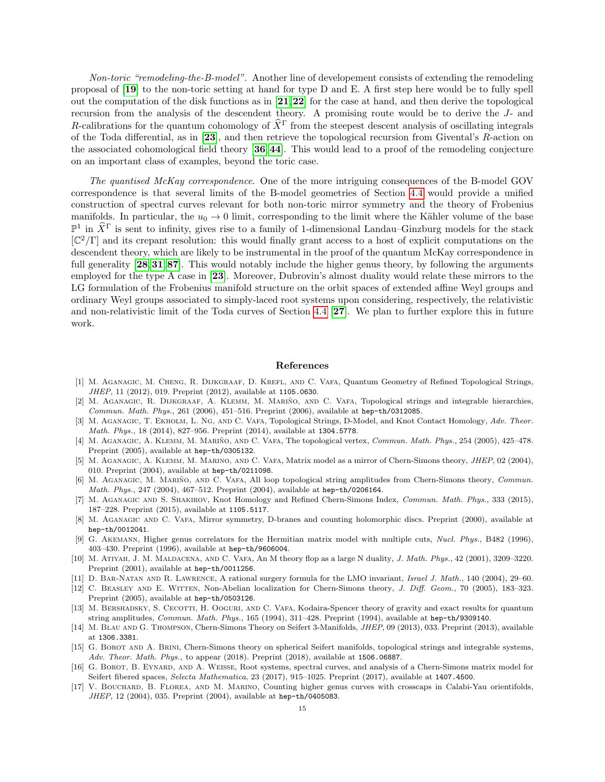Non-toric "remodeling-the-B-model". Another line of developement consists of extending the remodeling proposal of [[19](#page-16-2)] to the non-toric setting at hand for type D and E. A first step here would be to fully spell out the computation of the disk functions as in  $\mathbf{[21,22]}$  $\mathbf{[21,22]}$  $\mathbf{[21,22]}$  $\mathbf{[21,22]}$  $\mathbf{[21,22]}$  for the case at hand, and then derive the topological recursion from the analysis of the descendent theory. A promising route would be to derive the J- and R-calibrations for the quantum cohomology of  $\hat{X}^{\Gamma}$  from the steepest descent analysis of oscillating integrals of the Toda differential, as in [[23](#page-16-33)], and then retrieve the topological recursion from Givental's R-action on the associated cohomological field theory [[36](#page-16-19),[44](#page-16-24)]. This would lead to a proof of the remodeling conjecture on an important class of examples, beyond the toric case.

The quantised McKay correspondence. One of the more intriguing consequences of the B-model GOV correspondence is that several limits of the B-model geometries of Section [4.4](#page-14-2) would provide a unified construction of spectral curves relevant for both non-toric mirror symmetry and the theory of Frobenius manifolds. In particular, the  $u_0 \to 0$  limit, corresponding to the limit where the Kähler volume of the base  $\mathbb{P}^1$  in  $\hat{X}^{\Gamma}$  is sent to infinity, gives rise to a family of 1-dimensional Landau–Ginzburg models for the stack  $\mathbb{C}^2/\Gamma$  and its crepant resolution: this would finally grant access to a host of explicit computations on the descendent theory, which are likely to be instrumental in the proof of the quantum McKay correspondence in full generality [[28](#page-16-34), [31](#page-16-35), [87](#page-17-37)]. This would notably include the higher genus theory, by following the arguments employed for the type A case in [[23](#page-16-33)]. Moreover, Dubrovin's almost duality would relate these mirrors to the LG formulation of the Frobenius manifold structure on the orbit spaces of extended affine Weyl groups and ordinary Weyl groups associated to simply-laced root systems upon considering, respectively, the relativistic and non-relativistic limit of the Toda curves of Section [4.4](#page-14-2) [[27](#page-16-11)]. We plan to further explore this in future work.

# <span id="page-15-0"></span>References

- <span id="page-15-15"></span>[1] M. Aganagic, M. Cheng, R. Dijkgraaf, D. Krefl, and C. Vafa, Quantum Geometry of Refined Topological Strings, JHEP, 11 (2012), 019. Preprint (2012), available at 1105.0630.
- <span id="page-15-11"></span>M. AGANAGIC, R. DIJKGRAAF, A. KLEMM, M. MARIÑO, AND C. VAFA, Topological strings and integrable hierarchies, Commun. Math. Phys., 261 (2006), 451–516. Preprint (2006), available at hep-th/0312085.
- <span id="page-15-4"></span>[3] M. AGANAGIC, T. EKHOLM, L. NG, AND C. VAFA, Topological Strings, D-Model, and Knot Contact Homology, Adv. Theor. Math. Phys., 18 (2014), 827–956. Preprint (2014), available at 1304.5778.
- <span id="page-15-1"></span>[4] M. AGANAGIC, A. KLEMM, M. MARIÑO, AND C. VAFA, The topological vertex, Commun. Math. Phys., 254 (2005), 425-478. Preprint (2005), available at hep-th/0305132.
- <span id="page-15-6"></span>[5] M. Aganagic, A. Klemm, M. Marino, and C. Vafa, Matrix model as a mirror of Chern-Simons theory, JHEP, 02 (2004), 010. Preprint (2004), available at hep-th/0211098.
- <span id="page-15-2"></span>[6] M. AGANAGIC, M. MARIÑO, AND C. VAFA, All loop topological string amplitudes from Chern-Simons theory, Commun. Math. Phys., 247 (2004), 467–512. Preprint (2004), available at hep-th/0206164.
- <span id="page-15-5"></span>[7] M. Aganagic and S. Shakirov, Knot Homology and Refined Chern-Simons Index, Commun. Math. Phys., 333 (2015), 187–228. Preprint (2015), available at 1105.5117.
- <span id="page-15-16"></span>[8] M. Aganagic and C. Vafa, Mirror symmetry, D-branes and counting holomorphic discs. Preprint (2000), available at hep-th/0012041.
- <span id="page-15-8"></span>[9] G. Akemann, Higher genus correlators for the Hermitian matrix model with multiple cuts, Nucl. Phys., B482 (1996), 403–430. Preprint (1996), available at hep-th/9606004.
- <span id="page-15-10"></span>[10] M. ATIYAH, J. M. MALDACENA, AND C. VAFA, An M theory flop as a large N duality, J. Math. Phys., 42 (2001), 3209–3220. Preprint (2001), available at hep-th/0011256.
- <span id="page-15-17"></span>[11] D. BAR-NATAN AND R. LAWRENCE, A rational surgery formula for the LMO invariant, Israel J. Math., 140 (2004), 29–60.
- <span id="page-15-12"></span>[12] C. Beasley and E. Witten, Non-Abelian localization for Chern-Simons theory, J. Diff. Geom., 70 (2005), 183–323. Preprint (2005), available at hep-th/0503126.
- <span id="page-15-9"></span>[13] M. BERSHADSKY, S. CECOTTI, H. OOGURI, AND C. VAFA, Kodaira-Spencer theory of gravity and exact results for quantum string amplitudes, Commun. Math. Phys., 165 (1994), 311–428. Preprint (1994), available at hep-th/9309140.
- <span id="page-15-13"></span>[14] M. BLAU AND G. THOMPSON, Chern-Simons Theory on Seifert 3-Manifolds, *JHEP*, 09 (2013), 033. Preprint (2013), available at 1306.3381.
- <span id="page-15-7"></span>[15] G. BOROT AND A. BRINI, Chern-Simons theory on spherical Seifert manifolds, topological strings and integrable systems, Adv. Theor. Math. Phys., to appear (2018). Preprint (2018), available at 1506.06887.
- <span id="page-15-14"></span>[16] G. BOROT, B. EYNARD, AND A. WEISSE, Root systems, spectral curves, and analysis of a Chern-Simons matrix model for Seifert fibered spaces, Selecta Mathematica, 23 (2017), 915–1025. Preprint (2017), available at 1407.4500.
- <span id="page-15-3"></span>[17] V. BOUCHARD, B. FLOREA, AND M. MARINO, Counting higher genus curves with crosscaps in Calabi-Yau orientifolds, JHEP, 12 (2004), 035. Preprint (2004), available at hep-th/0405083.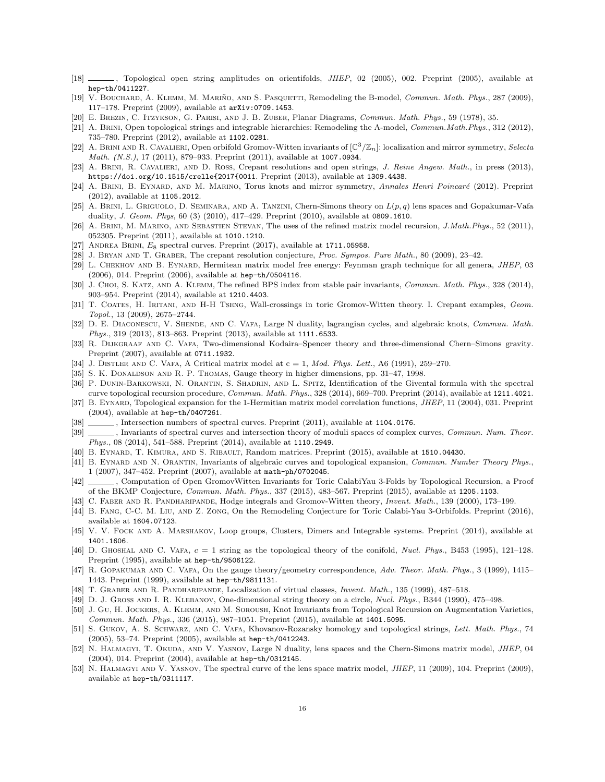- <span id="page-16-5"></span>[18] , Topological open string amplitudes on orientifolds, JHEP, 02 (2005), 002. Preprint (2005), available at hep-th/0411227.
- <span id="page-16-2"></span>[19] V. BOUCHARD, A. KLEMM, M. MARIÑO, AND S. PASQUETTI, Remodeling the B-model, Commun. Math. Phys., 287 (2009), 117–178. Preprint (2009), available at arXiv:0709.1453.
- <span id="page-16-12"></span>[20] E. Brezin, C. Itzykson, G. Parisi, and J. B. Zuber, Planar Diagrams, Commun. Math. Phys., 59 (1978), 35.
- <span id="page-16-32"></span>[21] A. Brini, Open topological strings and integrable hierarchies: Remodeling the A-model, Commun.Math.Phys., 312 (2012), 735–780. Preprint (2012), available at 1102.0281.
- <span id="page-16-29"></span>[22] A. BRINI AND R. CAVALIERI, Open orbifold Gromov-Witten invariants of  $\left[\mathbb{C}^3/\mathbb{Z}_n\right]$ : localization and mirror symmetry, Selecta Math. (N.S.), 17 (2011), 879–933. Preprint (2011), available at 1007.0934.
- <span id="page-16-33"></span>[23] A. Brini, R. Cavalieri, and D. Ross, Crepant resolutions and open strings, J. Reine Angew. Math., in press (2013), https://doi.org/10.1515/crelle{2017{0011. Preprint (2013), available at 1309.4438.
- <span id="page-16-6"></span>[24] A. BRINI, B. EYNARD, AND M. MARINO, Torus knots and mirror symmetry, Annales Henri Poincaré (2012). Preprint (2012), available at 1105.2012.
- <span id="page-16-8"></span>[25] A. BRINI, L. GRIGUOLO, D. SEMINARA, AND A. TANZINI, Chern-Simons theory on  $L(p,q)$  lens spaces and Gopakumar-Vafa duality, J. Geom. Phys, 60 (3) (2010), 417–429. Preprint (2010), available at 0809.1610.
- <span id="page-16-28"></span>[26] A. BRINI, M. MARINO, AND SEBASTIEN STEVAN, The uses of the refined matrix model recursion, J.Math.Phys., 52 (2011), 052305. Preprint (2011), available at 1010.1210.
- <span id="page-16-11"></span>[27] ANDREA BRINI,  $E_8$  spectral curves. Preprint (2017), available at 1711.05958.
- <span id="page-16-34"></span>[28] J. BRYAN AND T. GRABER, The crepant resolution conjecture, Proc. Sympos. Pure Math., 80 (2009), 23–42.
- <span id="page-16-20"></span>[29] L. CHEKHOV AND B. EYNARD, Hermitean matrix model free energy: Feynman graph technique for all genera, JHEP, 03 (2006), 014. Preprint (2006), available at hep-th/0504116.
- <span id="page-16-27"></span>[30] J. CHOI, S. KATZ, AND A. KLEMM, The refined BPS index from stable pair invariants, Commun. Math. Phys., 328 (2014), 903–954. Preprint (2014), available at 1210.4403.
- <span id="page-16-35"></span>[31] T. COATES, H. IRITANI, AND H-H TSENG, Wall-crossings in toric Gromov-Witten theory. I. Crepant examples, Geom. Topol., 13 (2009), 2675–2744.
- <span id="page-16-25"></span>[32] D. E. DIACONESCU, V. SHENDE, AND C. VAFA, Large N duality, lagrangian cycles, and algebraic knots, Commun. Math. Phys., 319 (2013), 813–863. Preprint (2013), available at 1111.6533.
- <span id="page-16-31"></span>[33] R. DIJKGRAAF AND C. VAFA, Two-dimensional Kodaira–Spencer theory and three-dimensional Chern–Simons gravity. Preprint (2007), available at 0711.1932.
- <span id="page-16-13"></span>[34] J. DISTLER AND C. VAFA, A Critical matrix model at  $c = 1$ , Mod. Phys. Lett., A6 (1991), 259-270.
- <span id="page-16-1"></span>[35] S. K. DONALDSON AND R. P. THOMAS, Gauge theory in higher dimensions, pp. 31-47, 1998.
- <span id="page-16-19"></span>[36] P. DUNIN-BARKOWSKI, N. ORANTIN, S. SHADRIN, AND L. SPITZ, Identification of the Givental formula with the spectral
- <span id="page-16-21"></span>curve topological recursion procedure, Commun. Math. Phys., 328 (2014), 669–700. Preprint (2014), available at 1211.4021. [37] B. EYNARD, Topological expansion for the 1-Hermitian matrix model correlation functions, JHEP, 11 (2004), 031. Preprint (2004), available at hep-th/0407261.
- <span id="page-16-17"></span> $\_\_$ , Intersection numbers of spectral curves. Preprint (2011), available at 1104.0176.
- <span id="page-16-18"></span>[39] , Invariants of spectral curves and intersection theory of moduli spaces of complex curves, Commun. Num. Theor. Phys., 08 (2014), 541–588. Preprint (2014), available at 1110.2949.
- <span id="page-16-16"></span>[40] B. Eynard, T. Kimura, and S. Ribault, Random matrices. Preprint (2015), available at 1510.04430.
- <span id="page-16-4"></span>[41] B. EYNARD AND N. ORANTIN, Invariants of algebraic curves and topological expansion, Commun. Number Theory Phys., 1 (2007), 347–452. Preprint (2007), available at math-ph/0702045.
- <span id="page-16-3"></span>[42] , Computation of Open GromovWitten Invariants for Toric CalabiYau 3-Folds by Topological Recursion, a Proof of the BKMP Conjecture, Commun. Math. Phys., 337 (2015), 483–567. Preprint (2015), available at 1205.1103.
- <span id="page-16-22"></span>[43] C. FABER AND R. PANDHARIPANDE, Hodge integrals and Gromov-Witten theory, Invent. Math., 139 (2000), 173–199.
- <span id="page-16-24"></span>[44] B. FANG, C-C. M. LIU, AND Z. ZONG, On the Remodeling Conjecture for Toric Calabi-Yau 3-Orbifolds. Preprint (2016), available at 1604.07123.
- <span id="page-16-30"></span>[45] V. V. FOCK AND A. MARSHAKOV, Loop groups, Clusters, Dimers and Integrable systems. Preprint (2014), available at 1401.1606.
- <span id="page-16-14"></span>[46] D. GHOSHAL AND C. VAFA,  $c = 1$  string as the topological theory of the conifold, *Nucl. Phys.*, B453 (1995), 121–128. Preprint (1995), available at hep-th/9506122.
- <span id="page-16-0"></span>[47] R. GOPAKUMAR AND C. VAFA, On the gauge theory/geometry correspondence, Adv. Theor. Math. Phys., 3 (1999), 1415– 1443. Preprint (1999), available at hep-th/9811131.
- <span id="page-16-23"></span>[48] T. GRABER AND R. PANDHARIPANDE, Localization of virtual classes, *Invent. Math.*, 135 (1999), 487-518.
- <span id="page-16-15"></span>[49] D. J. Gross and I. R. Klebanov, One-dimensional string theory on a circle, Nucl. Phys., B344 (1990), 475–498.
- <span id="page-16-26"></span>[50] J. Gu, H. JOCKERS, A. KLEMM, AND M. SOROUSH, Knot Invariants from Topological Recursion on Augmentation Varieties, Commun. Math. Phys., 336 (2015), 987–1051. Preprint (2015), available at 1401.5095.
- <span id="page-16-7"></span>[51] S. GUKOV, A. S. SCHWARZ, AND C. VAFA, Khovanov-Rozansky homology and topological strings, Lett. Math. Phys., 74 (2005), 53–74. Preprint (2005), available at hep-th/0412243.
- <span id="page-16-9"></span>[52] N. HALMAGYI, T. OKUDA, AND V. YASNOV, Large N duality, lens spaces and the Chern-Simons matrix model, JHEP, 04 (2004), 014. Preprint (2004), available at hep-th/0312145.
- <span id="page-16-10"></span>[53] N. HALMAGYI AND V. YASNOV, The spectral curve of the lens space matrix model, *JHEP*, 11 (2009), 104. Preprint (2009), available at hep-th/0311117.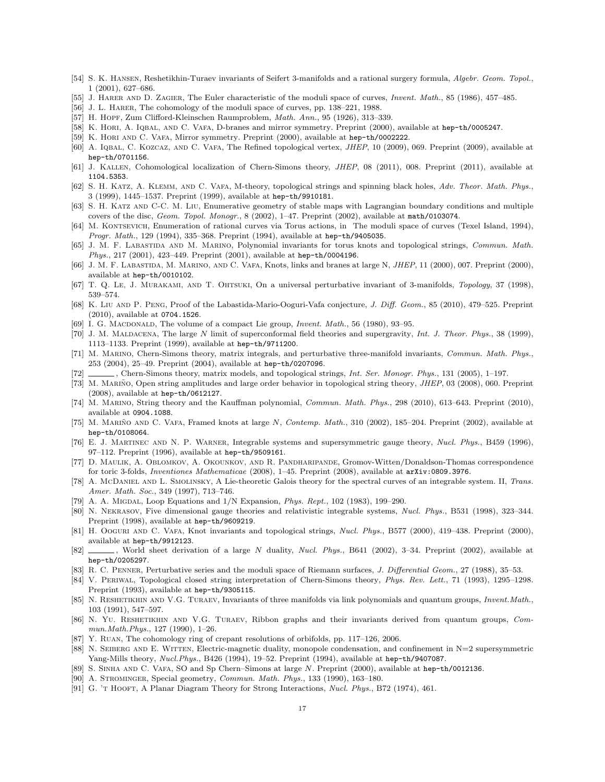- <span id="page-17-28"></span>[54] S. K. Hansen, Reshetikhin-Turaev invariants of Seifert 3-manifolds and a rational surgery formula, Algebr. Geom. Topol., 1 (2001), 627–686.
- <span id="page-17-23"></span>[55] J. HARER AND D. ZAGIER, The Euler characteristic of the moduli space of curves, *Invent. Math.*, 85 (1986), 457–485.
- <span id="page-17-19"></span>[56] J. L. Harer, The cohomology of the moduli space of curves, pp. 138–221, 1988.
- <span id="page-17-30"></span>[57] H. HOPF, Zum Clifford-Kleinschen Raumproblem, *Math. Ann.*, 95 (1926), 313–339.
- <span id="page-17-7"></span>[58] K. HORI, A. IQBAL, AND C. VAFA, D-branes and mirror symmetry. Preprint (2000), available at hep-th/0005247.
- <span id="page-17-8"></span>[59] K. Hori and C. Vafa, Mirror symmetry. Preprint (2000), available at hep-th/0002222.
- <span id="page-17-31"></span>[60] A. IQBAL, C. KOZCAZ, AND C. VAFA, The Refined topological vertex, *JHEP*, 10 (2009), 069. Preprint (2009), available at hep-th/0701156.
- <span id="page-17-29"></span>[61] J. Kallen, Cohomological localization of Chern-Simons theory, JHEP, 08 (2011), 008. Preprint (2011), available at 1104.5353.
- <span id="page-17-32"></span>[62] S. H. KATZ, A. KLEMM, AND C. VAFA, M-theory, topological strings and spinning black holes, Adv. Theor. Math. Phys., 3 (1999), 1445–1537. Preprint (1999), available at hep-th/9910181.
- <span id="page-17-27"></span>[63] S. H. Katz and C-C. M. Liu, Enumerative geometry of stable maps with Lagrangian boundary conditions and multiple covers of the disc, Geom. Topol. Monogr., 8 (2002), 1–47. Preprint (2002), available at math/0103074.
- <span id="page-17-6"></span>[64] M. KONTSEVICH, Enumeration of rational curves via Torus actions, in The moduli space of curves (Texel Island, 1994). Progr. Math., 129 (1994), 335–368. Preprint (1994), available at hep-th/9405035.
- <span id="page-17-17"></span>[65] J. M. F. LABASTIDA AND M. MARINO, Polynomial invariants for torus knots and topological strings, Commun. Math. Phys., 217 (2001), 423–449. Preprint (2001), available at hep-th/0004196.
- <span id="page-17-13"></span>[66] J. M. F. LABASTIDA, M. MARINO, AND C. VAFA, Knots, links and branes at large N, JHEP, 11 (2000), 007. Preprint (2000), available at hep-th/0010102.
- <span id="page-17-18"></span>[67] T. Q. Le, J. MURAKAMI, AND T. OHTSUKI, On a universal perturbative invariant of 3-manifolds, Topology, 37 (1998), 539–574.
- <span id="page-17-14"></span>[68] K. Liu AND P. PENG, Proof of the Labastida-Mario-Ooguri-Vafa conjecture, J. Diff. Geom., 85 (2010), 479-525. Preprint (2010), available at 0704.1526.
- <span id="page-17-21"></span>[69] I. G. MACDONALD, The volume of a compact Lie group, *Invent. Math.*, 56 (1980), 93–95.
- <span id="page-17-3"></span>[70] J. M. MALDACENA, The large N limit of superconformal field theories and supergravity, Int. J. Theor. Phys., 38 (1999), 1113–1133. Preprint (1999), available at hep-th/9711200.
- <span id="page-17-11"></span>[71] M. Marino, Chern-Simons theory, matrix integrals, and perturbative three-manifold invariants, Commun. Math. Phys., 253 (2004), 25–49. Preprint (2004), available at hep-th/0207096.
- <span id="page-17-25"></span>[72] , Chern-Simons theory, matrix models, and topological strings, *Int. Ser. Monogr. Phys.*, 131 (2005), 1-197.
- <span id="page-17-12"></span>[73] M. MARIÑO, Open string amplitudes and large order behavior in topological string theory, JHEP, 03 (2008), 060. Preprint (2008), available at hep-th/0612127.
- <span id="page-17-15"></span>[74] M. Marino, String theory and the Kauffman polynomial, Commun. Math. Phys., 298 (2010), 613–643. Preprint (2010), available at 0904.1088.
- <span id="page-17-10"></span>[75] M. MARIÑO AND C. VAFA, Framed knots at large N, Contemp. Math., 310 (2002), 185–204. Preprint (2002), available at hep-th/0108064.
- <span id="page-17-35"></span>[76] E. J. Martinec and N. P. Warner, Integrable systems and supersymmetric gauge theory, Nucl. Phys., B459 (1996), 97–112. Preprint (1996), available at hep-th/9509161.
- <span id="page-17-9"></span>[77] D. Maulik, A. Oblomkov, A. Okounkov, and R. Pandharipande, Gromov-Witten/Donaldson-Thomas correspondence for toric 3-folds, Inventiones Mathematicae (2008), 1–45. Preprint (2008), available at arXiv:0809.3976.
- <span id="page-17-36"></span>[78] A. McDANIEL AND L. SMOLINSKY, A Lie-theoretic Galois theory for the spectral curves of an integrable system. II, Trans. Amer. Math. Soc., 349 (1997), 713–746.
- <span id="page-17-24"></span>[79] A. A. MIGDAL, Loop Equations and  $1/N$  Expansion, *Phys. Rept.*, 102 (1983), 199–290.
- <span id="page-17-34"></span>[80] N. Nekrasov, Five dimensional gauge theories and relativistic integrable systems, Nucl. Phys., B531 (1998), 323–344. Preprint (1998), available at hep-th/9609219.
- <span id="page-17-0"></span>[81] H. Ooguri and C. Vafa, Knot invariants and topological strings, Nucl. Phys., B577 (2000), 419–438. Preprint (2000), available at hep-th/9912123.
- <span id="page-17-1"></span>[82] , World sheet derivation of a large N duality, Nucl. Phys., B641 (2002), 3–34. Preprint (2002), available at hep-th/0205297.
- <span id="page-17-20"></span>[83] R. C. PENNER, Perturbative series and the moduli space of Riemann surfaces, J. Differential Geom., 27 (1988), 35–53.
- <span id="page-17-22"></span>[84] V. Periwal, Topological closed string interpretation of Chern-Simons theory, Phys. Rev. Lett., 71 (1993), 1295–1298. Preprint (1993), available at hep-th/9305115.
- <span id="page-17-4"></span>[85] N. RESHETIKHIN AND V.G. TURAEV, Invariants of three manifolds via link polynomials and quantum groups, *Invent.Math.*, 103 (1991), 547–597.
- <span id="page-17-5"></span>[86] N. Yu. RESHETIKHIN AND V.G. TURAEV, Ribbon graphs and their invariants derived from quantum groups, Commun.Math.Phys., 127 (1990), 1–26.
- <span id="page-17-37"></span>[87] Y. Ruan, The cohomology ring of crepant resolutions of orbifolds, pp. 117–126, 2006.
- <span id="page-17-33"></span>[88] N. SEIBERG AND E. WITTEN, Electric-magnetic duality, monopole condensation, and confinement in  $N=2$  supersymmetric Yang-Mills theory, Nucl.Phys., B426 (1994), 19–52. Preprint (1994), available at hep-th/9407087.
- <span id="page-17-16"></span>[89] S. Sinha and C. Vafa, SO and Sp Chern–Simons at large N. Preprint (2000), available at hep-th/0012136.
- <span id="page-17-26"></span>[90] A. Strominger, Special geometry, Commun. Math. Phys., 133 (1990), 163–180.
- <span id="page-17-2"></span>[91] G. 'T HOOFT, A Planar Diagram Theory for Strong Interactions, Nucl. Phys., B72 (1974), 461.